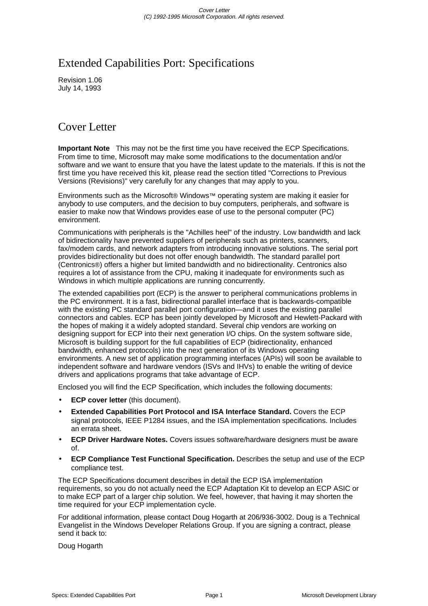# Extended Capabilities Port: Specifications

Revision 1.06 July 14, 1993

# Cover Letter

**Important Note** This may not be the first time you have received the ECP Specifications. From time to time, Microsoft may make some modifications to the documentation and/or software and we want to ensure that you have the latest update to the materials. If this is not the first time you have received this kit, please read the section titled "Corrections to Previous Versions (Revisions)" very carefully for any changes that may apply to you.

Environments such as the Microsoft® Windows™ operating system are making it easier for anybody to use computers, and the decision to buy computers, peripherals, and software is easier to make now that Windows provides ease of use to the personal computer (PC) environment.

Communications with peripherals is the "Achilles heel" of the industry. Low bandwidth and lack of bidirectionality have prevented suppliers of peripherals such as printers, scanners, fax/modem cards, and network adapters from introducing innovative solutions. The serial port provides bidirectionality but does not offer enough bandwidth. The standard parallel port (Centronics®) offers a higher but limited bandwidth and no bidirectionality. Centronics also requires a lot of assistance from the CPU, making it inadequate for environments such as Windows in which multiple applications are running concurrently.

The extended capabilities port (ECP) is the answer to peripheral communications problems in the PC environment. It is a fast, bidirectional parallel interface that is backwards-compatible with the existing PC standard parallel port configuration—and it uses the existing parallel connectors and cables. ECP has been jointly developed by Microsoft and Hewlett-Packard with the hopes of making it a widely adopted standard. Several chip vendors are working on designing support for ECP into their next generation I/O chips. On the system software side, Microsoft is building support for the full capabilities of ECP (bidirectionality, enhanced bandwidth, enhanced protocols) into the next generation of its Windows operating environments. A new set of application programming interfaces (APIs) will soon be available to independent software and hardware vendors (ISVs and IHVs) to enable the writing of device drivers and applications programs that take advantage of ECP.

Enclosed you will find the ECP Specification, which includes the following documents:

- **ECP cover letter** (this document).
- **Extended Capabilities Port Protocol and ISA Interface Standard.** Covers the ECP signal protocols, IEEE P1284 issues, and the ISA implementation specifications. Includes an errata sheet.
- **ECP Driver Hardware Notes.** Covers issues software/hardware designers must be aware of.
- **ECP Compliance Test Functional Specification.** Describes the setup and use of the ECP compliance test.

The ECP Specifications document describes in detail the ECP ISA implementation requirements, so you do not actually need the ECP Adaptation Kit to develop an ECP ASIC or to make ECP part of a larger chip solution. We feel, however, that having it may shorten the time required for your ECP implementation cycle.

For additional information, please contact Doug Hogarth at 206/936-3002. Doug is a Technical Evangelist in the Windows Developer Relations Group. If you are signing a contract, please send it back to:

Doug Hogarth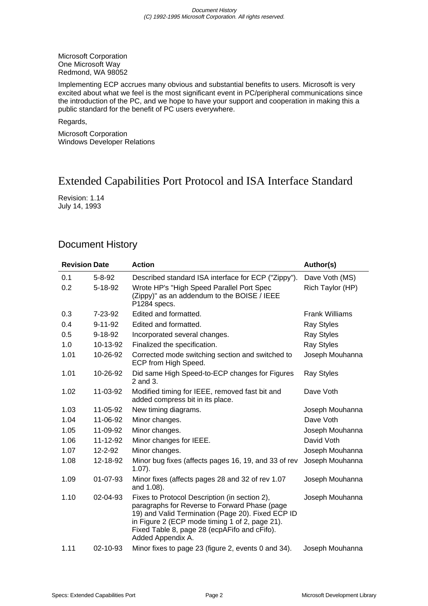Microsoft Corporation One Microsoft Way Redmond, WA 98052

Implementing ECP accrues many obvious and substantial benefits to users. Microsoft is very excited about what we feel is the most significant event in PC/peripheral communications since the introduction of the PC, and we hope to have your support and cooperation in making this a public standard for the benefit of PC users everywhere.

Regards,

Microsoft Corporation Windows Developer Relations

# Extended Capabilities Port Protocol and ISA Interface Standard

Revision: 1.14 July 14, 1993

# Document History

| <b>Revision Date</b> |      |                | <b>Action</b>                                                                                                                                                                                                                                                              | Author(s)             |
|----------------------|------|----------------|----------------------------------------------------------------------------------------------------------------------------------------------------------------------------------------------------------------------------------------------------------------------------|-----------------------|
|                      | 0.1  | $5 - 8 - 92$   | Described standard ISA interface for ECP ("Zippy").                                                                                                                                                                                                                        | Dave Voth (MS)        |
|                      | 0.2  | 5-18-92        | Wrote HP's "High Speed Parallel Port Spec<br>(Zippy)" as an addendum to the BOISE / IEEE<br>P1284 specs.                                                                                                                                                                   | Rich Taylor (HP)      |
|                      | 0.3  | 7-23-92        | Edited and formatted.                                                                                                                                                                                                                                                      | <b>Frank Williams</b> |
|                      | 0.4  | $9 - 11 - 92$  | Edited and formatted.                                                                                                                                                                                                                                                      | <b>Ray Styles</b>     |
|                      | 0.5  | $9 - 18 - 92$  | Incorporated several changes.                                                                                                                                                                                                                                              | <b>Ray Styles</b>     |
|                      | 1.0  | 10-13-92       | Finalized the specification.                                                                                                                                                                                                                                               | <b>Ray Styles</b>     |
|                      | 1.01 | 10-26-92       | Corrected mode switching section and switched to<br>ECP from High Speed.                                                                                                                                                                                                   | Joseph Mouhanna       |
|                      | 1.01 | 10-26-92       | Did same High Speed-to-ECP changes for Figures<br>2 and 3.                                                                                                                                                                                                                 | <b>Ray Styles</b>     |
|                      | 1.02 | 11-03-92       | Modified timing for IEEE, removed fast bit and<br>added compress bit in its place.                                                                                                                                                                                         | Dave Voth             |
|                      | 1.03 | 11-05-92       | New timing diagrams.                                                                                                                                                                                                                                                       | Joseph Mouhanna       |
|                      | 1.04 | 11-06-92       | Minor changes.                                                                                                                                                                                                                                                             | Dave Voth             |
|                      | 1.05 | 11-09-92       | Minor changes.                                                                                                                                                                                                                                                             | Joseph Mouhanna       |
|                      | 1.06 | 11-12-92       | Minor changes for IEEE.                                                                                                                                                                                                                                                    | David Voth            |
|                      | 1.07 | 12-2-92        | Minor changes.                                                                                                                                                                                                                                                             | Joseph Mouhanna       |
|                      | 1.08 | 12-18-92       | Minor bug fixes (affects pages 16, 19, and 33 of rev<br>$1.07$ ).                                                                                                                                                                                                          | Joseph Mouhanna       |
|                      | 1.09 | 01-07-93       | Minor fixes (affects pages 28 and 32 of rev 1.07<br>and 1.08).                                                                                                                                                                                                             | Joseph Mouhanna       |
|                      | 1.10 | 02-04-93       | Fixes to Protocol Description (in section 2),<br>paragraphs for Reverse to Forward Phase (page<br>19) and Valid Termination (Page 20). Fixed ECP ID<br>in Figure 2 (ECP mode timing 1 of 2, page 21).<br>Fixed Table 8, page 28 (ecpAFifo and cFifo).<br>Added Appendix A. | Joseph Mouhanna       |
|                      | 1.11 | $02 - 10 - 93$ | Minor fixes to page 23 (figure 2, events 0 and 34).                                                                                                                                                                                                                        | Joseph Mouhanna       |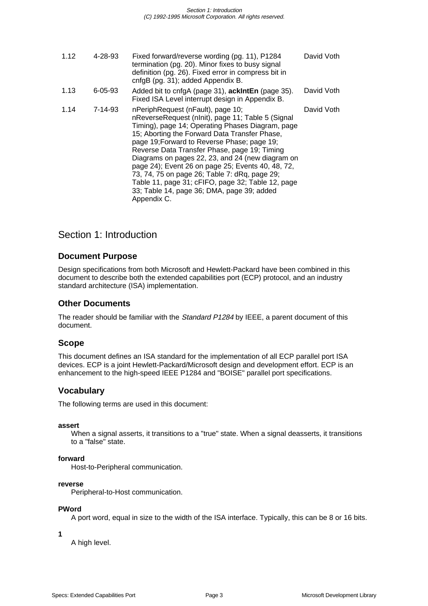| 1.12 | 4-28-93 | Fixed forward/reverse wording (pg. 11), P1284<br>termination (pg. 20). Minor fixes to busy signal<br>definition (pg. 26). Fixed error in compress bit in<br>cnfgB (pg. 31); added Appendix B.                                                                                                                                                                                                                                                                                                                                                                          | David Voth |
|------|---------|------------------------------------------------------------------------------------------------------------------------------------------------------------------------------------------------------------------------------------------------------------------------------------------------------------------------------------------------------------------------------------------------------------------------------------------------------------------------------------------------------------------------------------------------------------------------|------------|
| 1.13 | 6-05-93 | Added bit to cnfgA (page 31), <b>ackintEn</b> (page 35).<br>Fixed ISA Level interrupt design in Appendix B.                                                                                                                                                                                                                                                                                                                                                                                                                                                            | David Voth |
| 1.14 | 7-14-93 | nPeriphRequest (nFault), page 10;<br>nReverseRequest (nlnit), page 11; Table 5 (Signal<br>Timing), page 14; Operating Phases Diagram, page<br>15; Aborting the Forward Data Transfer Phase,<br>page 19; Forward to Reverse Phase; page 19;<br>Reverse Data Transfer Phase, page 19; Timing<br>Diagrams on pages 22, 23, and 24 (new diagram on<br>page 24); Event 26 on page 25; Events 40, 48, 72,<br>73, 74, 75 on page 26; Table 7: dRq, page 29;<br>Table 11, page 31; cFIFO, page 32; Table 12, page<br>33; Table 14, page 36; DMA, page 39; added<br>Appendix C. | David Voth |

## Section 1: Introduction

## **Document Purpose**

Design specifications from both Microsoft and Hewlett-Packard have been combined in this document to describe both the extended capabilities port (ECP) protocol, and an industry standard architecture (ISA) implementation.

## **Other Documents**

The reader should be familiar with the Standard P1284 by IEEE, a parent document of this document.

## **Scope**

This document defines an ISA standard for the implementation of all ECP parallel port ISA devices. ECP is a joint Hewlett-Packard/Microsoft design and development effort. ECP is an enhancement to the high-speed IEEE P1284 and "BOISE" parallel port specifications.

## **Vocabulary**

The following terms are used in this document:

#### **assert**

When a signal asserts, it transitions to a "true" state. When a signal deasserts, it transitions to a "false" state.

#### **forward**

Host-to-Peripheral communication.

#### **reverse**

Peripheral-to-Host communication.

#### **PWord**

A port word, equal in size to the width of the ISA interface. Typically, this can be 8 or 16 bits.

**1**

A high level.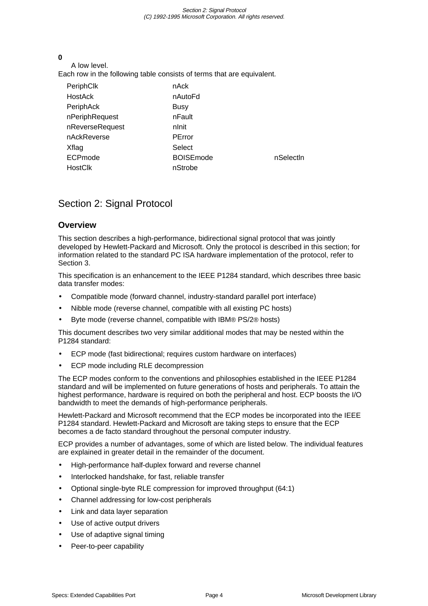#### Section 2: Signal Protocol (C) 1992-1995 Microsoft Corporation. All rights reserved.

#### **0**

A low level. Each row in the following table consists of terms that are equivalent.

| PeriphClk       | nAck             |           |
|-----------------|------------------|-----------|
| <b>HostAck</b>  | nAutoFd          |           |
| PeriphAck       | <b>Busy</b>      |           |
| nPeriphRequest  | nFault           |           |
| nReverseRequest | nlnit            |           |
| nAckReverse     | PError           |           |
| Xflag           | Select           |           |
| ECPmode         | <b>BOISEmode</b> | nSelectin |
| <b>HostClk</b>  | nStrobe          |           |
|                 |                  |           |

# Section 2: Signal Protocol

## **Overview**

This section describes a high-performance, bidirectional signal protocol that was jointly developed by Hewlett-Packard and Microsoft. Only the protocol is described in this section; for information related to the standard PC ISA hardware implementation of the protocol, refer to Section 3.

This specification is an enhancement to the IEEE P1284 standard, which describes three basic data transfer modes:

- Compatible mode (forward channel, industry-standard parallel port interface)
- Nibble mode (reverse channel, compatible with all existing PC hosts)
- Byte mode (reverse channel, compatible with IBM® PS/2® hosts)

This document describes two very similar additional modes that may be nested within the P1284 standard:

- ECP mode (fast bidirectional; requires custom hardware on interfaces)
- ECP mode including RLE decompression

The ECP modes conform to the conventions and philosophies established in the IEEE P1284 standard and will be implemented on future generations of hosts and peripherals. To attain the highest performance, hardware is required on both the peripheral and host. ECP boosts the I/O bandwidth to meet the demands of high-performance peripherals.

Hewlett-Packard and Microsoft recommend that the ECP modes be incorporated into the IEEE P1284 standard. Hewlett-Packard and Microsoft are taking steps to ensure that the ECP becomes a de facto standard throughout the personal computer industry.

ECP provides a number of advantages, some of which are listed below. The individual features are explained in greater detail in the remainder of the document.

- High-performance half-duplex forward and reverse channel
- Interlocked handshake, for fast, reliable transfer
- Optional single-byte RLE compression for improved throughput (64:1)
- Channel addressing for low-cost peripherals
- Link and data layer separation
- Use of active output drivers
- Use of adaptive signal timing
- Peer-to-peer capability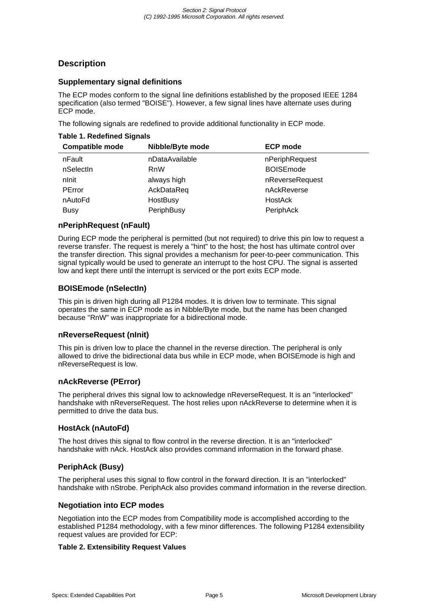## **Description**

#### **Supplementary signal definitions**

The ECP modes conform to the signal line definitions established by the proposed IEEE 1284 specification (also termed "BOISE"). However, a few signal lines have alternate uses during ECP mode.

The following signals are redefined to provide additional functionality in ECP mode.

#### **Table 1. Redefined Signals**

| <b>Compatible mode</b> | Nibble/Byte mode | <b>ECP mode</b>   |
|------------------------|------------------|-------------------|
| nFault                 | nDataAvailable   | nPeriphRequest    |
| nSelectin              | <b>RnW</b>       | <b>BOISE</b> mode |
| nlnit                  | always high      | nReverseRequest   |
| PError                 | AckDataReq       | nAckReverse       |
| nAutoFd                | HostBusy         | HostAck           |
| <b>Busy</b>            | PeriphBusy       | PeriphAck         |

#### **nPeriphRequest (nFault)**

During ECP mode the peripheral is permitted (but not required) to drive this pin low to request a reverse transfer. The request is merely a "hint" to the host; the host has ultimate control over the transfer direction. This signal provides a mechanism for peer-to-peer communication. This signal typically would be used to generate an interrupt to the host CPU. The signal is asserted low and kept there until the interrupt is serviced or the port exits ECP mode.

#### **BOISEmode (nSelectIn)**

This pin is driven high during all P1284 modes. It is driven low to terminate. This signal operates the same in ECP mode as in Nibble/Byte mode, but the name has been changed because "RnW" was inappropriate for a bidirectional mode.

#### **nReverseRequest (nInit)**

This pin is driven low to place the channel in the reverse direction. The peripheral is only allowed to drive the bidirectional data bus while in ECP mode, when BOISEmode is high and nReverseRequest is low.

#### **nAckReverse (PError)**

The peripheral drives this signal low to acknowledge nReverseRequest. It is an "interlocked" handshake with nReverseRequest. The host relies upon nAckReverse to determine when it is permitted to drive the data bus.

## **HostAck (nAutoFd)**

The host drives this signal to flow control in the reverse direction. It is an "interlocked" handshake with nAck. HostAck also provides command information in the forward phase.

## **PeriphAck (Busy)**

The peripheral uses this signal to flow control in the forward direction. It is an "interlocked" handshake with nStrobe. PeriphAck also provides command information in the reverse direction.

#### **Negotiation into ECP modes**

Negotiation into the ECP modes from Compatibility mode is accomplished according to the established P1284 methodology, with a few minor differences. The following P1284 extensibility request values are provided for ECP:

#### **Table 2. Extensibility Request Values**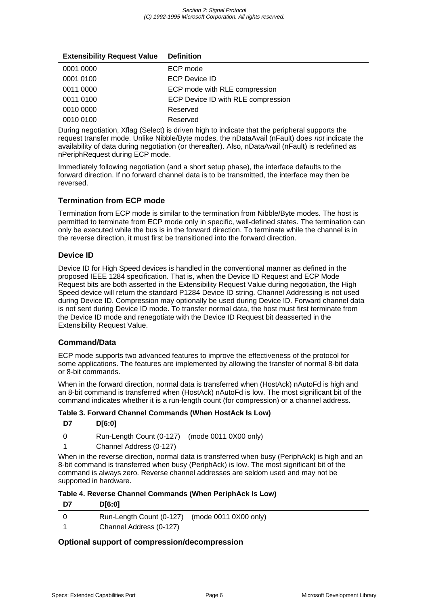| <b>Extensibility Request Value</b> | <b>Definition</b>                  |
|------------------------------------|------------------------------------|
| 0001 0000                          | ECP mode                           |
| 0001 0100                          | <b>ECP Device ID</b>               |
| 0011 0000                          | ECP mode with RLE compression      |
| 0011 0100                          | ECP Device ID with RLE compression |
| 0010 0000                          | Reserved                           |
| 0010 0100                          | Reserved                           |

During negotiation, Xflag (Select) is driven high to indicate that the peripheral supports the request transfer mode. Unlike Nibble/Byte modes, the nDataAvail (nFault) does not indicate the availability of data during negotiation (or thereafter). Also, nDataAvail (nFault) is redefined as nPeriphRequest during ECP mode.

Immediately following negotiation (and a short setup phase), the interface defaults to the forward direction. If no forward channel data is to be transmitted, the interface may then be reversed.

## **Termination from ECP mode**

Termination from ECP mode is similar to the termination from Nibble/Byte modes. The host is permitted to terminate from ECP mode only in specific, well-defined states. The termination can only be executed while the bus is in the forward direction. To terminate while the channel is in the reverse direction, it must first be transitioned into the forward direction.

## **Device ID**

Device ID for High Speed devices is handled in the conventional manner as defined in the proposed IEEE 1284 specification. That is, when the Device ID Request and ECP Mode Request bits are both asserted in the Extensibility Request Value during negotiation, the High Speed device will return the standard P1284 Device ID string. Channel Addressing is not used during Device ID. Compression may optionally be used during Device ID. Forward channel data is not sent during Device ID mode. To transfer normal data, the host must first terminate from the Device ID mode and renegotiate with the Device ID Request bit deasserted in the Extensibility Request Value.

## **Command/Data**

ECP mode supports two advanced features to improve the effectiveness of the protocol for some applications. The features are implemented by allowing the transfer of normal 8-bit data or 8-bit commands.

When in the forward direction, normal data is transferred when (HostAck) nAutoFd is high and an 8-bit command is transferred when (HostAck) nAutoFd is low. The most significant bit of the command indicates whether it is a run-length count (for compression) or a channel address.

**Table 3. Forward Channel Commands (When HostAck Is Low)**

| D7 | D[6:0]                                         |   |
|----|------------------------------------------------|---|
|    | Run-Length Count (0-127) (mode 0011 0X00 only) |   |
|    | Channel Address (0-127)                        |   |
|    |                                                | . |

When in the reverse direction, normal data is transferred when busy (PeriphAck) is high and an 8-bit command is transferred when busy (PeriphAck) is low. The most significant bit of the command is always zero. Reverse channel addresses are seldom used and may not be supported in hardware.

| Table 4. Reverse Channel Commands (When PeriphAck Is Low) |  |
|-----------------------------------------------------------|--|
|-----------------------------------------------------------|--|

| D7<br><b>D</b> [6:0]                                                      |  |
|---------------------------------------------------------------------------|--|
| Run-Length Count (0-127) (mode 0011 0X00 only)<br>Channel Address (0-127) |  |

## **Optional support of compression/decompression**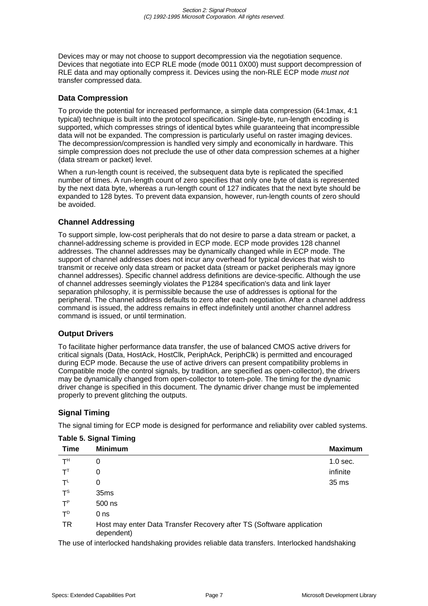Devices may or may not choose to support decompression via the negotiation sequence. Devices that negotiate into ECP RLE mode (mode 0011 0X00) must support decompression of RLE data and may optionally compress it. Devices using the non-RLE ECP mode *must not* transfer compressed data.

#### **Data Compression**

To provide the potential for increased performance, a simple data compression (64:1max, 4:1 typical) technique is built into the protocol specification. Single-byte, run-length encoding is supported, which compresses strings of identical bytes while guaranteeing that incompressible data will not be expanded. The compression is particularly useful on raster imaging devices. The decompression/compression is handled very simply and economically in hardware. This simple compression does not preclude the use of other data compression schemes at a higher (data stream or packet) level.

When a run-length count is received, the subsequent data byte is replicated the specified number of times. A run-length count of zero specifies that only one byte of data is represented by the next data byte, whereas a run-length count of 127 indicates that the next byte should be expanded to 128 bytes. To prevent data expansion, however, run-length counts of zero should be avoided.

#### **Channel Addressing**

To support simple, low-cost peripherals that do not desire to parse a data stream or packet, a channel-addressing scheme is provided in ECP mode. ECP mode provides 128 channel addresses. The channel addresses may be dynamically changed while in ECP mode. The support of channel addresses does not incur any overhead for typical devices that wish to transmit or receive only data stream or packet data (stream or packet peripherals may ignore channel addresses). Specific channel address definitions are device-specific. Although the use of channel addresses seemingly violates the P1284 specification's data and link layer separation philosophy, it is permissible because the use of addresses is optional for the peripheral. The channel address defaults to zero after each negotiation. After a channel address command is issued, the address remains in effect indefinitely until another channel address command is issued, or until termination.

#### **Output Drivers**

To facilitate higher performance data transfer, the use of balanced CMOS active drivers for critical signals (Data, HostAck, HostClk, PeriphAck, PeriphClk) is permitted and encouraged during ECP mode. Because the use of active drivers can present compatibility problems in Compatible mode (the control signals, by tradition, are specified as open-collector), the drivers may be dynamically changed from open-collector to totem-pole. The timing for the dynamic driver change is specified in this document. The dynamic driver change must be implemented properly to prevent glitching the outputs.

## **Signal Timing**

The signal timing for ECP mode is designed for performance and reliability over cabled systems.

| <b>Time</b>    | <b>Minimum</b>                                                                     | <b>Maximum</b> |
|----------------|------------------------------------------------------------------------------------|----------------|
| T <sup>H</sup> | 0                                                                                  | $1.0$ sec.     |
| $T^{T}$        | 0                                                                                  | infinite       |
| $T^L$          | 0                                                                                  | 35 ms          |
| $T^{\text{S}}$ | 35 <sub>ms</sub>                                                                   |                |
| $T^P$          | 500 ns                                                                             |                |
| $T^D$          | 0 <sub>ns</sub>                                                                    |                |
| <b>TR</b>      | Host may enter Data Transfer Recovery after TS (Software application<br>dependent) |                |

**Table 5. Signal Timing**

The use of interlocked handshaking provides reliable data transfers. Interlocked handshaking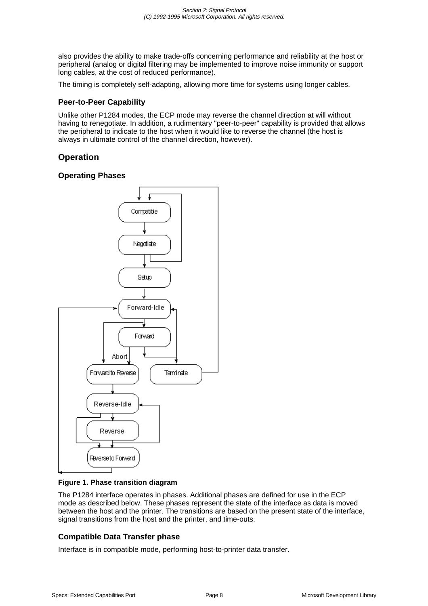also provides the ability to make trade-offs concerning performance and reliability at the host or peripheral (analog or digital filtering may be implemented to improve noise immunity or support long cables, at the cost of reduced performance).

The timing is completely self-adapting, allowing more time for systems using longer cables.

#### **Peer-to-Peer Capability**

Unlike other P1284 modes, the ECP mode may reverse the channel direction at will without having to renegotiate. In addition, a rudimentary "peer-to-peer" capability is provided that allows the peripheral to indicate to the host when it would like to reverse the channel (the host is always in ultimate control of the channel direction, however).

## **Operation**

#### **Operating Phases**



#### **Figure 1. Phase transition diagram**

The P1284 interface operates in phases. Additional phases are defined for use in the ECP mode as described below. These phases represent the state of the interface as data is moved between the host and the printer. The transitions are based on the present state of the interface, signal transitions from the host and the printer, and time-outs.

## **Compatible Data Transfer phase**

Interface is in compatible mode, performing host-to-printer data transfer.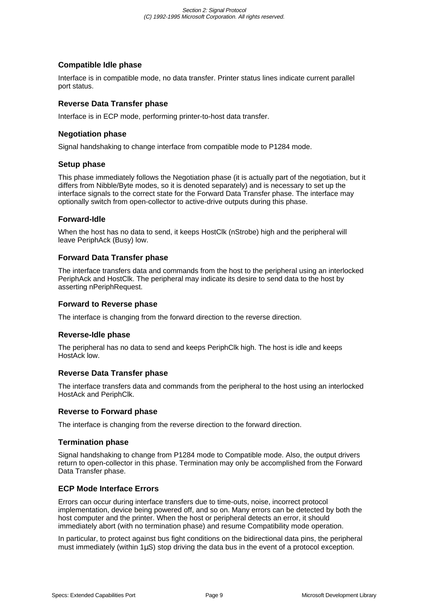#### **Compatible Idle phase**

Interface is in compatible mode, no data transfer. Printer status lines indicate current parallel port status.

#### **Reverse Data Transfer phase**

Interface is in ECP mode, performing printer-to-host data transfer.

## **Negotiation phase**

Signal handshaking to change interface from compatible mode to P1284 mode.

#### **Setup phase**

This phase immediately follows the Negotiation phase (it is actually part of the negotiation, but it differs from Nibble/Byte modes, so it is denoted separately) and is necessary to set up the interface signals to the correct state for the Forward Data Transfer phase. The interface may optionally switch from open-collector to active-drive outputs during this phase.

#### **Forward-Idle**

When the host has no data to send, it keeps HostClk (nStrobe) high and the peripheral will leave PeriphAck (Busy) low.

#### **Forward Data Transfer phase**

The interface transfers data and commands from the host to the peripheral using an interlocked PeriphAck and HostClk. The peripheral may indicate its desire to send data to the host by asserting nPeriphRequest.

#### **Forward to Reverse phase**

The interface is changing from the forward direction to the reverse direction.

#### **Reverse-Idle phase**

The peripheral has no data to send and keeps PeriphClk high. The host is idle and keeps HostAck low.

## **Reverse Data Transfer phase**

The interface transfers data and commands from the peripheral to the host using an interlocked HostAck and PeriphClk.

#### **Reverse to Forward phase**

The interface is changing from the reverse direction to the forward direction.

#### **Termination phase**

Signal handshaking to change from P1284 mode to Compatible mode. Also, the output drivers return to open-collector in this phase. Termination may only be accomplished from the Forward Data Transfer phase.

#### **ECP Mode Interface Errors**

Errors can occur during interface transfers due to time-outs, noise, incorrect protocol implementation, device being powered off, and so on. Many errors can be detected by both the host computer and the printer. When the host or peripheral detects an error, it should immediately abort (with no termination phase) and resume Compatibility mode operation.

In particular, to protect against bus fight conditions on the bidirectional data pins, the peripheral must immediately (within 1µS) stop driving the data bus in the event of a protocol exception.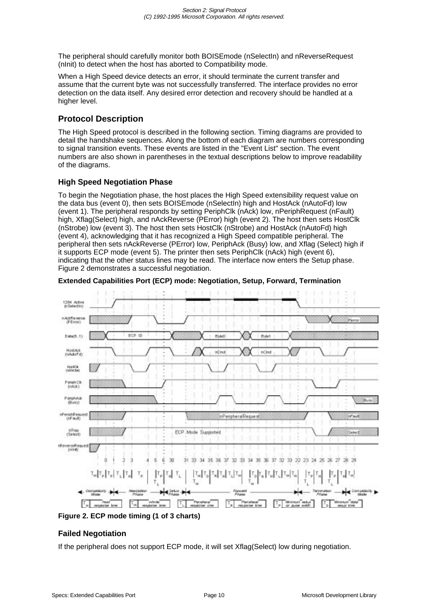The peripheral should carefully monitor both BOISEmode (nSelectIn) and nReverseRequest (nInit) to detect when the host has aborted to Compatibility mode.

When a High Speed device detects an error, it should terminate the current transfer and assume that the current byte was not successfully transferred. The interface provides no error detection on the data itself. Any desired error detection and recovery should be handled at a higher level.

## **Protocol Description**

The High Speed protocol is described in the following section. Timing diagrams are provided to detail the handshake sequences. Along the bottom of each diagram are numbers corresponding to signal transition events. These events are listed in the "Event List" section. The event numbers are also shown in parentheses in the textual descriptions below to improve readability of the diagrams.

## **High Speed Negotiation Phase**

To begin the Negotiation phase, the host places the High Speed extensibility request value on the data bus (event 0), then sets BOISEmode (nSelectIn) high and HostAck (nAutoFd) low (event 1). The peripheral responds by setting PeriphClk (nAck) low, nPeriphRequest (nFault) high, Xflag(Select) high, and nAckReverse (PError) high (event 2). The host then sets HostClk (nStrobe) low (event 3). The host then sets HostClk (nStrobe) and HostAck (nAutoFd) high (event 4), acknowledging that it has recognized a High Speed compatible peripheral. The peripheral then sets nAckReverse (PError) low, PeriphAck (Busy) low, and Xflag (Select) high if it supports ECP mode (event 5). The printer then sets PeriphClk (nAck) high (event 6), indicating that the other status lines may be read. The interface now enters the Setup phase. Figure 2 demonstrates a successful negotiation.



**Extended Capabilities Port (ECP) mode: Negotiation, Setup, Forward, Termination**

**Figure 2. ECP mode timing (1 of 3 charts)**

## **Failed Negotiation**

If the peripheral does not support ECP mode, it will set Xflag(Select) low during negotiation.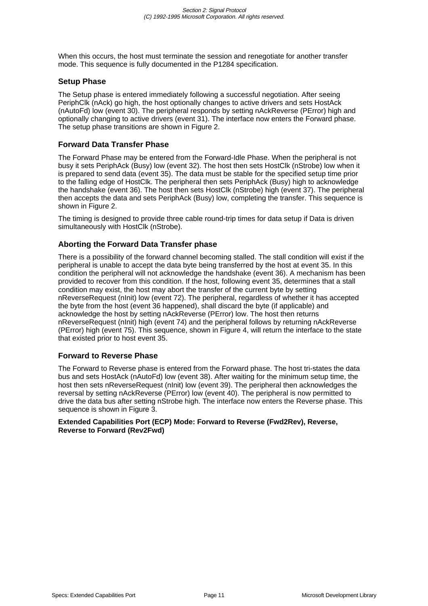When this occurs, the host must terminate the session and renegotiate for another transfer mode. This sequence is fully documented in the P1284 specification.

#### **Setup Phase**

The Setup phase is entered immediately following a successful negotiation. After seeing PeriphClk (nAck) go high, the host optionally changes to active drivers and sets HostAck (nAutoFd) low (event 30). The peripheral responds by setting nAckReverse (PError) high and optionally changing to active drivers (event 31). The interface now enters the Forward phase. The setup phase transitions are shown in Figure 2.

## **Forward Data Transfer Phase**

The Forward Phase may be entered from the Forward-Idle Phase. When the peripheral is not busy it sets PeriphAck (Busy) low (event 32). The host then sets HostClk (nStrobe) low when it is prepared to send data (event 35). The data must be stable for the specified setup time prior to the falling edge of HostClk. The peripheral then sets PeriphAck (Busy) high to acknowledge the handshake (event 36). The host then sets HostClk (nStrobe) high (event 37). The peripheral then accepts the data and sets PeriphAck (Busy) low, completing the transfer. This sequence is shown in Figure 2.

The timing is designed to provide three cable round-trip times for data setup if Data is driven simultaneously with HostClk (nStrobe).

## **Aborting the Forward Data Transfer phase**

There is a possibility of the forward channel becoming stalled. The stall condition will exist if the peripheral is unable to accept the data byte being transferred by the host at event 35. In this condition the peripheral will not acknowledge the handshake (event 36). A mechanism has been provided to recover from this condition. If the host, following event 35, determines that a stall condition may exist, the host may abort the transfer of the current byte by setting nReverseRequest (nInit) low (event 72). The peripheral, regardless of whether it has accepted the byte from the host (event 36 happened), shall discard the byte (if applicable) and acknowledge the host by setting nAckReverse (PError) low. The host then returns nReverseRequest (nInit) high (event 74) and the peripheral follows by returning nAckReverse (PError) high (event 75). This sequence, shown in Figure 4, will return the interface to the state that existed prior to host event 35.

#### **Forward to Reverse Phase**

The Forward to Reverse phase is entered from the Forward phase. The host tri-states the data bus and sets HostAck (nAutoFd) low (event 38). After waiting for the minimum setup time, the host then sets nReverseRequest (nInit) low (event 39). The peripheral then acknowledges the reversal by setting nAckReverse (PError) low (event 40). The peripheral is now permitted to drive the data bus after setting nStrobe high. The interface now enters the Reverse phase. This sequence is shown in Figure 3.

#### **Extended Capabilities Port (ECP) Mode: Forward to Reverse (Fwd2Rev), Reverse, Reverse to Forward (Rev2Fwd)**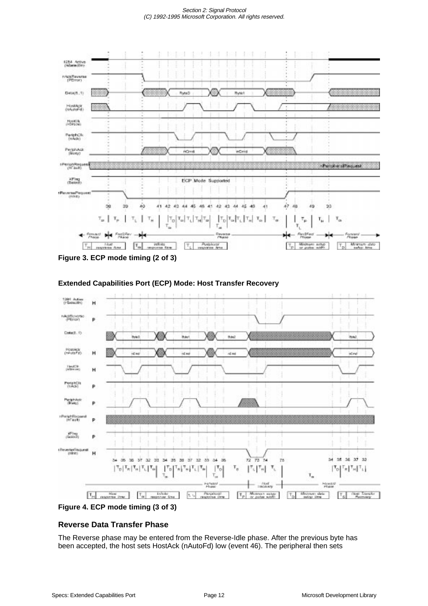#### Section 2: Signal Protocol (C) 1992-1995 Microsoft Corporation. All rights reserved.



**Figure 3. ECP mode timing (2 of 3)**



#### **Extended Capabilities Port (ECP) Mode: Host Transfer Recovery**

## **Figure 4. ECP mode timing (3 of 3)**

## **Reverse Data Transfer Phase**

The Reverse phase may be entered from the Reverse-Idle phase. After the previous byte has been accepted, the host sets HostAck (nAutoFd) low (event 46). The peripheral then sets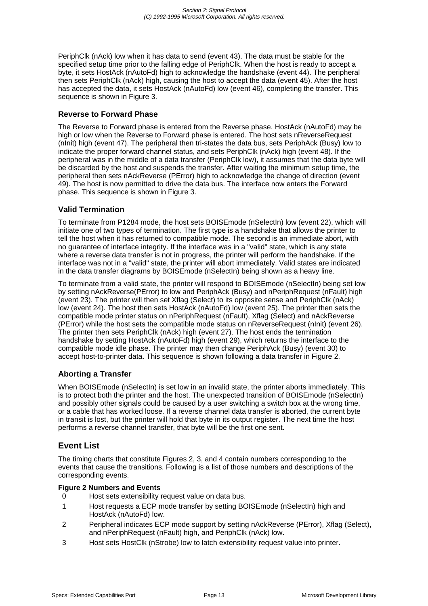PeriphClk (nAck) low when it has data to send (event 43). The data must be stable for the specified setup time prior to the falling edge of PeriphClk. When the host is ready to accept a byte, it sets HostAck (nAutoFd) high to acknowledge the handshake (event 44). The peripheral then sets PeriphClk (nAck) high, causing the host to accept the data (event 45). After the host has accepted the data, it sets HostAck (nAutoFd) low (event 46), completing the transfer. This sequence is shown in Figure 3.

## **Reverse to Forward Phase**

The Reverse to Forward phase is entered from the Reverse phase. HostAck (nAutoFd) may be high or low when the Reverse to Forward phase is entered. The host sets nReverseRequest (nInit) high (event 47). The peripheral then tri-states the data bus, sets PeriphAck (Busy) low to indicate the proper forward channel status, and sets PeriphClk (nAck) high (event 48). If the peripheral was in the middle of a data transfer (PeriphClk low), it assumes that the data byte will be discarded by the host and suspends the transfer. After waiting the minimum setup time, the peripheral then sets nAckReverse (PError) high to acknowledge the change of direction (event 49). The host is now permitted to drive the data bus. The interface now enters the Forward phase. This sequence is shown in Figure 3.

#### **Valid Termination**

To terminate from P1284 mode, the host sets BOISEmode (nSelectIn) low (event 22), which will initiate one of two types of termination. The first type is a handshake that allows the printer to tell the host when it has returned to compatible mode. The second is an immediate abort, with no guarantee of interface integrity. If the interface was in a "valid" state, which is any state where a reverse data transfer is not in progress, the printer will perform the handshake. If the interface was not in a "valid" state, the printer will abort immediately. Valid states are indicated in the data transfer diagrams by BOISEmode (nSelectIn) being shown as a heavy line.

To terminate from a valid state, the printer will respond to BOISEmode (nSelectIn) being set low by setting nAckReverse(PError) to low and PeriphAck (Busy) and nPeriphRequest (nFault) high (event 23). The printer will then set Xflag (Select) to its opposite sense and PeriphClk (nAck) low (event 24). The host then sets HostAck (nAutoFd) low (event 25). The printer then sets the compatible mode printer status on nPeriphRequest (nFault), Xflag (Select) and nAckReverse (PError) while the host sets the compatible mode status on nReverseRequest (nInit) (event 26). The printer then sets PeriphClk (nAck) high (event 27). The host ends the termination handshake by setting HostAck (nAutoFd) high (event 29), which returns the interface to the compatible mode idle phase. The printer may then change PeriphAck (Busy) (event 30) to accept host-to-printer data. This sequence is shown following a data transfer in Figure 2.

## **Aborting a Transfer**

When BOISEmode (nSelectIn) is set low in an invalid state, the printer aborts immediately. This is to protect both the printer and the host. The unexpected transition of BOISEmode (nSelectIn) and possibly other signals could be caused by a user switching a switch box at the wrong time, or a cable that has worked loose. If a reverse channel data transfer is aborted, the current byte in transit is lost, but the printer will hold that byte in its output register. The next time the host performs a reverse channel transfer, that byte will be the first one sent.

## **Event List**

The timing charts that constitute Figures 2, 3, and 4 contain numbers corresponding to the events that cause the transitions. Following is a list of those numbers and descriptions of the corresponding events.

#### **Figure 2 Numbers and Events**

- 0 Host sets extensibility request value on data bus.
- 1 Host requests a ECP mode transfer by setting BOISEmode (nSelectIn) high and HostAck (nAutoFd) low.
- 2 Peripheral indicates ECP mode support by setting nAckReverse (PError), Xflag (Select), and nPeriphRequest (nFault) high, and PeriphClk (nAck) low.
- 3 Host sets HostClk (nStrobe) low to latch extensibility request value into printer.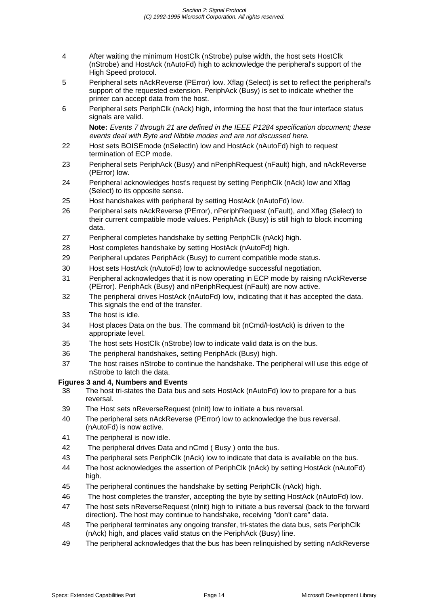- 4 After waiting the minimum HostClk (nStrobe) pulse width, the host sets HostClk (nStrobe) and HostAck (nAutoFd) high to acknowledge the peripheral's support of the High Speed protocol.
- 5 Peripheral sets nAckReverse (PError) low. Xflag (Select) is set to reflect the peripheral's support of the requested extension. PeriphAck (Busy) is set to indicate whether the printer can accept data from the host.
- 6 Peripheral sets PeriphClk (nAck) high, informing the host that the four interface status signals are valid.

Note: Events 7 through 21 are defined in the IEEE P1284 specification document; these events deal with Byte and Nibble modes and are not discussed here.

- 22 Host sets BOISEmode (nSelectIn) low and HostAck (nAutoFd) high to request termination of ECP mode.
- 23 Peripheral sets PeriphAck (Busy) and nPeriphRequest (nFault) high, and nAckReverse (PError) low.
- 24 Peripheral acknowledges host's request by setting PeriphClk (nAck) low and Xflag (Select) to its opposite sense.
- 25 Host handshakes with peripheral by setting HostAck (nAutoFd) low.
- 26 Peripheral sets nAckReverse (PError), nPeriphRequest (nFault), and Xflag (Select) to their current compatible mode values. PeriphAck (Busy) is still high to block incoming data.
- 27 Peripheral completes handshake by setting PeriphClk (nAck) high.
- 28 Host completes handshake by setting HostAck (nAutoFd) high.
- 29 Peripheral updates PeriphAck (Busy) to current compatible mode status.
- 30 Host sets HostAck (nAutoFd) low to acknowledge successful negotiation.
- 31 Peripheral acknowledges that it is now operating in ECP mode by raising nAckReverse (PError). PeriphAck (Busy) and nPeriphRequest (nFault) are now active.
- 32 The peripheral drives HostAck (nAutoFd) low, indicating that it has accepted the data. This signals the end of the transfer.
- 33 The host is idle.
- 34 Host places Data on the bus. The command bit (nCmd/HostAck) is driven to the appropriate level.
- 35 The host sets HostClk (nStrobe) low to indicate valid data is on the bus.
- 36 The peripheral handshakes, setting PeriphAck (Busy) high.
- 37 The host raises nStrobe to continue the handshake. The peripheral will use this edge of nStrobe to latch the data.

#### **Figures 3 and 4, Numbers and Events**

- 38 The host tri-states the Data bus and sets HostAck (nAutoFd) low to prepare for a bus reversal.
- 39 The Host sets nReverseRequest (nInit) low to initiate a bus reversal.
- 40 The peripheral sets nAckReverse (PError) low to acknowledge the bus reversal. (nAutoFd) is now active.
- 41 The peripheral is now idle.
- 42 The peripheral drives Data and nCmd ( Busy ) onto the bus.
- 43 The peripheral sets PeriphClk (nAck) low to indicate that data is available on the bus.
- 44 The host acknowledges the assertion of PeriphClk (nAck) by setting HostAck (nAutoFd) high.
- 45 The peripheral continues the handshake by setting PeriphClk (nAck) high.
- 46 The host completes the transfer, accepting the byte by setting HostAck (nAutoFd) low.
- 47 The host sets nReverseRequest (nInit) high to initiate a bus reversal (back to the forward direction). The host may continue to handshake, receiving "don't care" data.
- 48 The peripheral terminates any ongoing transfer, tri-states the data bus, sets PeriphClk (nAck) high, and places valid status on the PeriphAck (Busy) line.
- 49 The peripheral acknowledges that the bus has been relinquished by setting nAckReverse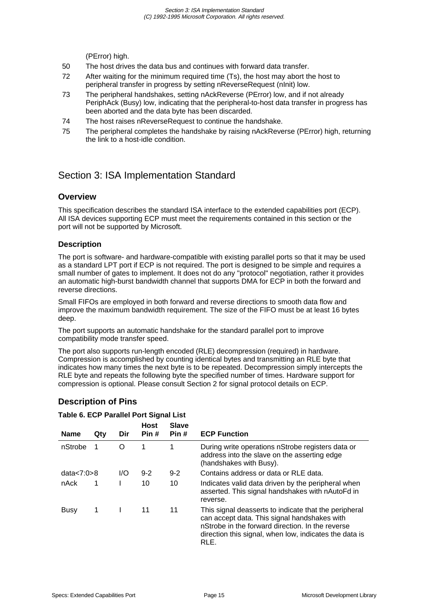(PError) high.

- 50 The host drives the data bus and continues with forward data transfer.
- 72 After waiting for the minimum required time (Ts), the host may abort the host to peripheral transfer in progress by setting nReverseRequest (nInit) low.
- 73 The peripheral handshakes, setting nAckReverse (PError) low, and if not already PeriphAck (Busy) low, indicating that the peripheral-to-host data transfer in progress has been aborted and the data byte has been discarded.
- 74 The host raises nReverseRequest to continue the handshake.
- 75 The peripheral completes the handshake by raising nAckReverse (PError) high, returning the link to a host-idle condition.

# Section 3: ISA Implementation Standard

## **Overview**

This specification describes the standard ISA interface to the extended capabilities port (ECP). All ISA devices supporting ECP must meet the requirements contained in this section or the port will not be supported by Microsoft.

## **Description**

The port is software- and hardware-compatible with existing parallel ports so that it may be used as a standard LPT port if ECP is not required. The port is designed to be simple and requires a small number of gates to implement. It does not do any "protocol" negotiation, rather it provides an automatic high-burst bandwidth channel that supports DMA for ECP in both the forward and reverse directions.

Small FIFOs are employed in both forward and reverse directions to smooth data flow and improve the maximum bandwidth requirement. The size of the FIFO must be at least 16 bytes deep.

The port supports an automatic handshake for the standard parallel port to improve compatibility mode transfer speed.

The port also supports run-length encoded (RLE) decompression (required) in hardware. Compression is accomplished by counting identical bytes and transmitting an RLE byte that indicates how many times the next byte is to be repeated. Decompression simply intercepts the RLE byte and repeats the following byte the specified number of times. Hardware support for compression is optional. Please consult Section 2 for signal protocol details on ECP.

| <b>Name</b>   | Qty | Dir | <b>Host</b><br>Pin# | <b>Slave</b><br>Pin# | <b>ECP Function</b>                                                                                                                                                                                                         |
|---------------|-----|-----|---------------------|----------------------|-----------------------------------------------------------------------------------------------------------------------------------------------------------------------------------------------------------------------------|
| nStrobe       |     | O   | 1                   |                      | During write operations nStrobe registers data or<br>address into the slave on the asserting edge<br>(handshakes with Busy).                                                                                                |
| data $<7:0>8$ |     | 1/O | $9 - 2$             | $9 - 2$              | Contains address or data or RLE data.                                                                                                                                                                                       |
| nAck          | 1   |     | 10                  | 10                   | Indicates valid data driven by the peripheral when<br>asserted. This signal handshakes with nAutoFd in<br>reverse.                                                                                                          |
| Busy          | 1   |     | 11                  | 11                   | This signal deasserts to indicate that the peripheral<br>can accept data. This signal handshakes with<br>nStrobe in the forward direction. In the reverse<br>direction this signal, when low, indicates the data is<br>RLE. |

## **Description of Pins**

#### **Table 6. ECP Parallel Port Signal List**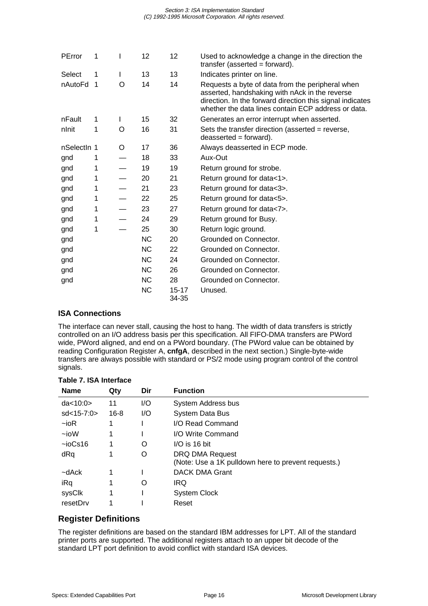| PError      | 1              | I | 12        | 12                 | Used to acknowledge a change in the direction the<br>transfer (asserted = forward).                                                                                                                                    |
|-------------|----------------|---|-----------|--------------------|------------------------------------------------------------------------------------------------------------------------------------------------------------------------------------------------------------------------|
| Select      | 1              | L | 13        | 13                 | Indicates printer on line.                                                                                                                                                                                             |
| nAutoFd     | $\overline{1}$ | O | 14        | 14                 | Requests a byte of data from the peripheral when<br>asserted, handshaking with nAck in the reverse<br>direction. In the forward direction this signal indicates<br>whether the data lines contain ECP address or data. |
| nFault      | 1              | I | 15        | 32                 | Generates an error interrupt when asserted.                                                                                                                                                                            |
| nlnit       | 1              | O | 16        | 31                 | Sets the transfer direction (asserted = reverse,<br>$deasserted = forward$ ).                                                                                                                                          |
| nSelectin 1 |                | O | 17        | 36                 | Always deasserted in ECP mode.                                                                                                                                                                                         |
| gnd         | 1              |   | 18        | 33                 | Aux-Out                                                                                                                                                                                                                |
| gnd         | 1              |   | 19        | 19                 | Return ground for strobe.                                                                                                                                                                                              |
| gnd         | 1              |   | 20        | 21                 | Return ground for data<1>.                                                                                                                                                                                             |
| gnd         | 1              |   | 21        | 23                 | Return ground for data<3>.                                                                                                                                                                                             |
| gnd         | 1              |   | 22        | 25                 | Return ground for data<5>.                                                                                                                                                                                             |
| gnd         | 1              |   | 23        | 27                 | Return ground for data<7>.                                                                                                                                                                                             |
| gnd         | 1              |   | 24        | 29                 | Return ground for Busy.                                                                                                                                                                                                |
| gnd         | 1              |   | 25        | 30                 | Return logic ground.                                                                                                                                                                                                   |
| gnd         |                |   | <b>NC</b> | 20                 | Grounded on Connector.                                                                                                                                                                                                 |
| gnd         |                |   | <b>NC</b> | 22                 | Grounded on Connector.                                                                                                                                                                                                 |
| gnd         |                |   | <b>NC</b> | 24                 | Grounded on Connector.                                                                                                                                                                                                 |
| gnd         |                |   | <b>NC</b> | 26                 | Grounded on Connector.                                                                                                                                                                                                 |
| gnd         |                |   | <b>NC</b> | 28                 | Grounded on Connector.                                                                                                                                                                                                 |
|             |                |   | <b>NC</b> | $15 - 17$<br>34-35 | Unused.                                                                                                                                                                                                                |

## **ISA Connections**

The interface can never stall, causing the host to hang. The width of data transfers is strictly controlled on an I/O address basis per this specification. All FIFO-DMA transfers are PWord wide, PWord aligned, and end on a PWord boundary. (The PWord value can be obtained by reading Configuration Register A, **cnfgA**, described in the next section.) Single-byte-wide transfers are always possible with standard or PS/2 mode using program control of the control signals.

| <b>Name</b>     | Qty      | Dir | <b>Function</b>                                                        |
|-----------------|----------|-----|------------------------------------------------------------------------|
| da < 10:0>      | 11       | 1/O | System Address bus                                                     |
| $sd < 15 - 7:0$ | $16 - 8$ | I/O | <b>System Data Bus</b>                                                 |
| $-i$ oR         | 1        |     | I/O Read Command                                                       |
| $\sim$ ioW      | 1        |     | I/O Write Command                                                      |
| $\sim$ ioCs16   |          | O   | $I/O$ is 16 bit                                                        |
| dRq             |          | O   | DRQ DMA Request<br>(Note: Use a 1K pulldown here to prevent requests.) |
| ~dAck           |          |     | <b>DACK DMA Grant</b>                                                  |
| iRq             | 1        | O   | IRQ                                                                    |
| sysClk          | 1        |     | <b>System Clock</b>                                                    |
| resetDrv        |          |     | Reset                                                                  |

## **Table 7. ISA Interface**

## **Register Definitions**

The register definitions are based on the standard IBM addresses for LPT. All of the standard printer ports are supported. The additional registers attach to an upper bit decode of the standard LPT port definition to avoid conflict with standard ISA devices.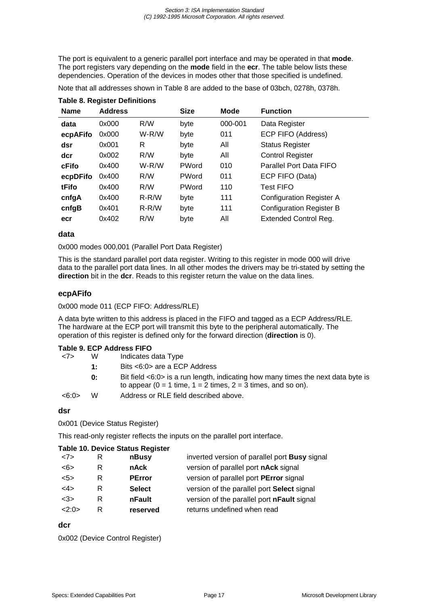The port is equivalent to a generic parallel port interface and may be operated in that **mode**. The port registers vary depending on the **mode** field in the **ecr**. The table below lists these dependencies. Operation of the devices in modes other that those specified is undefined.

| Note that all addresses shown in Table 8 are added to the base of 03bch, 0278h, 0378h. |  |  |  |  |  |
|----------------------------------------------------------------------------------------|--|--|--|--|--|
|----------------------------------------------------------------------------------------|--|--|--|--|--|

| <b>Name</b> | <b>Address</b> |         | <b>Size</b> | <b>Mode</b> | <b>Function</b>                 |
|-------------|----------------|---------|-------------|-------------|---------------------------------|
| data        | 0x000          | R/W     | byte        | 000-001     | Data Register                   |
| ecpAFifo    | 0x000          | $W-R/W$ | byte        | 011         | ECP FIFO (Address)              |
| dsr         | 0x001          | R       | byte        | All         | <b>Status Register</b>          |
| dcr         | 0x002          | R/W     | byte        | All         | <b>Control Register</b>         |
| cFifo       | 0x400          | $W-R/W$ | PWord       | 010         | Parallel Port Data FIFO         |
| ecpDFifo    | 0x400          | R/W     | PWord       | 011         | ECP FIFO (Data)                 |
| tFifo       | 0x400          | R/W     | PWord       | 110         | <b>Test FIFO</b>                |
| cnfgA       | 0x400          | $R-R/W$ | byte        | 111         | <b>Configuration Register A</b> |
| cnfgB       | 0x401          | $R-R/W$ | byte        | 111         | <b>Configuration Register B</b> |
| ecr         | 0x402          | R/W     | byte        | All         | <b>Extended Control Reg.</b>    |
|             |                |         |             |             |                                 |

## **Table 8. Register Definitions**

#### **data**

0x000 modes 000,001 (Parallel Port Data Register)

This is the standard parallel port data register. Writing to this register in mode 000 will drive data to the parallel port data lines. In all other modes the drivers may be tri-stated by setting the **direction** bit in the **dcr**. Reads to this register return the value on the data lines.

#### **ecpAFifo**

0x000 mode 011 (ECP FIFO: Address/RLE)

A data byte written to this address is placed in the FIFO and tagged as a ECP Address/RLE. The hardware at the ECP port will transmit this byte to the peripheral automatically. The operation of this register is defined only for the forward direction (**direction** is 0).

#### **Table 9. ECP Address FIFO**

| <7>   | W  | Indicates data Type                                                                                                                                                     |
|-------|----|-------------------------------------------------------------------------------------------------------------------------------------------------------------------------|
|       | 1: | Bits <6:0> are a ECP Address                                                                                                                                            |
|       | 0: | Bit field $\langle 6:0 \rangle$ is a run length, indicating how many times the next data byte is<br>to appear ( $0 = 1$ time, $1 = 2$ times, $2 = 3$ times, and so on). |
| <6:0> | w  | Address or RLE field described above.                                                                                                                                   |
|       |    |                                                                                                                                                                         |

#### **dsr**

0x001 (Device Status Register)

This read-only register reflects the inputs on the parallel port interface.

#### **Table 10. Device Status Register**

| <7> |   | nBusy         | inverted version of parallel port Busy signal |
|-----|---|---------------|-----------------------------------------------|
| <6> |   | nAck          | version of parallel port nAck signal          |
| 5   | R | <b>PError</b> | version of parallel port PError signal        |
| <4> | R | <b>Select</b> | version of the parallel port Select signal    |
| <3> | R | nFault        | version of the parallel port nFault signal    |
| 2.0 | R | reserved      | returns undefined when read                   |
|     |   |               |                                               |

#### **dcr**

0x002 (Device Control Register)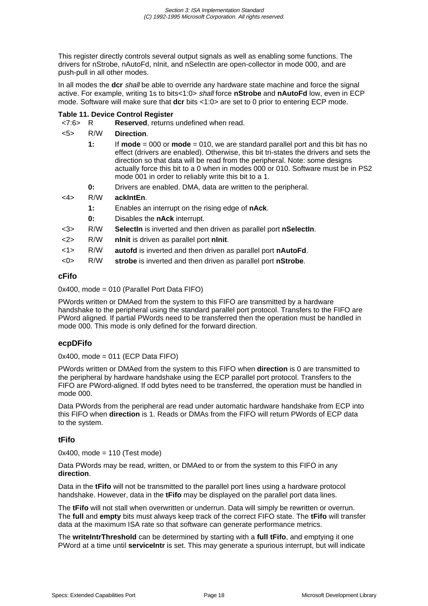This register directly controls several output signals as well as enabling some functions. The drivers for nStrobe, nAutoFd, nInit, and nSelectIn are open-collector in mode 000, and are push-pull in all other modes.

In all modes the **dcr** shall be able to override any hardware state machine and force the signal active. For example, writing 1s to bits<1:0> shall force **nStrobe** and **nAutoFd** low, even in ECP mode. Software will make sure that **dcr** bits <1:0> are set to 0 prior to entering ECP mode.

#### **Table 11. Device Control Register**

<7:6> R **Reserved**, returns undefined when read.

#### <5> R/W **Direction**.

| 1: | If $mode = 000$ or $mode = 010$ , we are standard parallel port and this bit has no<br>effect (drivers are enabled). Otherwise, this bit tri-states the drivers and sets the<br>direction so that data will be read from the peripheral. Note: some designs<br>actually force this bit to a 0 when in modes 000 or 010. Software must be in PS2 |
|----|-------------------------------------------------------------------------------------------------------------------------------------------------------------------------------------------------------------------------------------------------------------------------------------------------------------------------------------------------|
|    | mode 001 in order to reliably write this bit to a 1.                                                                                                                                                                                                                                                                                            |
|    |                                                                                                                                                                                                                                                                                                                                                 |

**0:** Drivers are enabled. DMA, data are written to the peripheral.

#### <4> R/W **ackIntEn**.

- **1:** Enables an interrupt on the rising edge of **nAck**.
- **0:** Disables the **nAck** interrupt.
- <3> R/W **SelectIn** is inverted and then driven as parallel port **nSelectIn**.
- <2> R/W **nInit** is driven as parallel port **nInit**.
- <1> R/W **autofd** is inverted and then driven as parallel port **nAutoFd**.
- <0> R/W **strobe** is inverted and then driven as parallel port **nStrobe**.

#### **cFifo**

0x400, mode = 010 (Parallel Port Data FIFO)

PWords written or DMAed from the system to this FIFO are transmitted by a hardware handshake to the peripheral using the standard parallel port protocol. Transfers to the FIFO are PWord aligned. If partial PWords need to be transferred then the operation must be handled in mode 000. This mode is only defined for the forward direction.

#### **ecpDFifo**

0x400, mode = 011 (ECP Data FIFO)

PWords written or DMAed from the system to this FIFO when **direction** is 0 are transmitted to the peripheral by hardware handshake using the ECP parallel port protocol. Transfers to the FIFO are PWord-aligned. If odd bytes need to be transferred, the operation must be handled in mode 000.

Data PWords from the peripheral are read under automatic hardware handshake from ECP into this FIFO when **direction** is 1. Reads or DMAs from the FIFO will return PWords of ECP data to the system.

#### **tFifo**

 $0x400$ , mode = 110 (Test mode)

Data PWords may be read, written, or DMAed to or from the system to this FIFO in any **direction**.

Data in the **tFifo** will not be transmitted to the parallel port lines using a hardware protocol handshake. However, data in the **tFifo** may be displayed on the parallel port data lines.

The **tFifo** will not stall when overwritten or underrun. Data will simply be rewritten or overrun. The **full** and **empty** bits must always keep track of the correct FIFO state. The **tFifo** will transfer data at the maximum ISA rate so that software can generate performance metrics.

The **writeIntrThreshold** can be determined by starting with a **full tFifo**, and emptying it one PWord at a time until **serviceIntr** is set. This may generate a spurious interrupt, but will indicate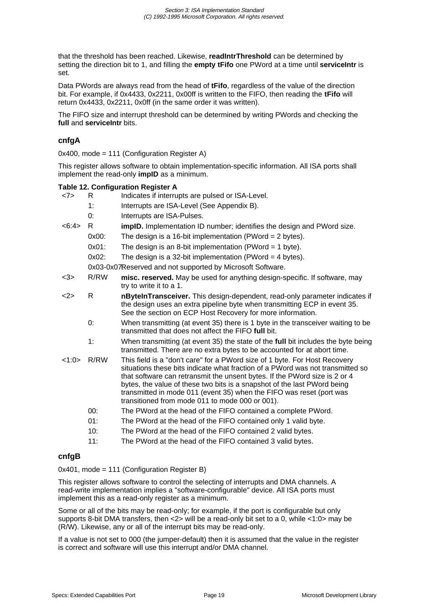that the threshold has been reached. Likewise, **readIntrThreshold** can be determined by setting the direction bit to 1, and filling the **empty tFifo** one PWord at a time until **serviceIntr** is set.

Data PWords are always read from the head of **tFifo**, regardless of the value of the direction bit. For example, if 0x4433, 0x2211, 0x00ff is written to the FIFO, then reading the **tFifo** will return 0x4433, 0x2211, 0x0ff (in the same order it was written).

The FIFO size and interrupt threshold can be determined by writing PWords and checking the **full** and **serviceIntr** bits.

#### **cnfgA**

0x400, mode = 111 (Configuration Register A)

This register allows software to obtain implementation-specific information. All ISA ports shall implement the read-only **impID** as a minimum.

#### **Table 12. Configuration Register A**

- <7> R Indicates if interrupts are pulsed or ISA-Level.
	- 1: Interrupts are ISA-Level (See Appendix B).
	- 0: Interrupts are ISA-Pulses.
- <6:4> R **impID.** Implementation ID number; identifies the design and PWord size.
	- 0x00: The design is a 16-bit implementation (PWord = 2 bytes).
	- 0x01: The design is an 8-bit implementation (PWord = 1 byte).
	- 0x02: The design is a 32-bit implementation (PWord = 4 bytes).

0x03-0x07Reserved and not supported by Microsoft Software.

- <3> R/RW **misc. reserved.** May be used for anything design-specific. If software, may try to write it to a 1.
- <2> R **nByteInTransceiver.** This design-dependent, read-only parameter indicates if the design uses an extra pipeline byte when transmitting ECP in event 35. See the section on ECP Host Recovery for more information.
	- 0: When transmitting (at event 35) there is 1 byte in the transceiver waiting to be transmitted that does not affect the FIFO **full** bit.
	- 1: When transmitting (at event 35) the state of the **full** bit includes the byte being transmitted. There are no extra bytes to be accounted for at abort time.
- <1:0> R/RW This field is a "don't care" for a PWord size of 1 byte. For Host Recovery situations these bits indicate what fraction of a PWord was not transmitted so that software can retransmit the unsent bytes. If the PWord size is 2 or 4 bytes, the value of these two bits is a snapshot of the last PWord being transmitted in mode 011 (event 35) when the FIFO was reset (port was transitioned from mode 011 to mode 000 or 001).
	- 00: The PWord at the head of the FIFO contained a complete PWord.
	- 01: The PWord at the head of the FIFO contained only 1 valid byte.
	- 10: The PWord at the head of the FIFO contained 2 valid bytes.
	- 11: The PWord at the head of the FIFO contained 3 valid bytes.

#### **cnfgB**

0x401, mode = 111 (Configuration Register B)

This register allows software to control the selecting of interrupts and DMA channels. A read-write implementation implies a "software-configurable" device. All ISA ports must implement this as a read-only register as a minimum.

Some or all of the bits may be read-only; for example, if the port is configurable but only supports 8-bit DMA transfers, then <2> will be a read-only bit set to a 0, while <1:0> may be (R/W). Likewise, any or all of the interrupt bits may be read-only.

If a value is not set to 000 (the jumper-default) then it is assumed that the value in the register is correct and software will use this interrupt and/or DMA channel.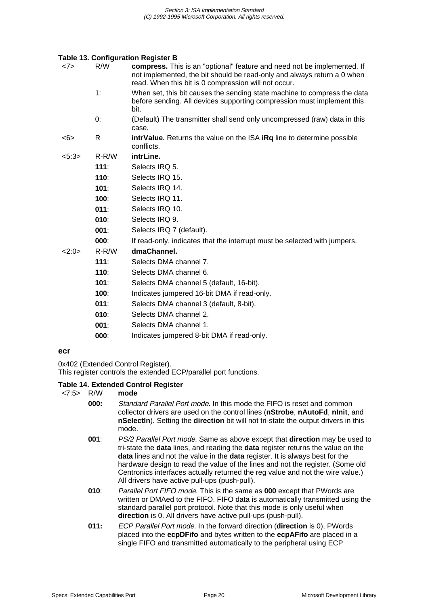#### **Table 13. Configuration Register B**

| <7>  | R/W     | compress. This is an "optional" feature and need not be implemented. If<br>not implemented, the bit should be read-only and always return a 0 when         |
|------|---------|------------------------------------------------------------------------------------------------------------------------------------------------------------|
|      |         | read. When this bit is 0 compression will not occur.                                                                                                       |
|      | 1:      | When set, this bit causes the sending state machine to compress the data<br>before sending. All devices supporting compression must implement this<br>bit. |
|      | 0:      | (Default) The transmitter shall send only uncompressed (raw) data in this<br>case.                                                                         |
| <6>  | R       | <b>intrValue.</b> Returns the value on the ISA <b>iRq</b> line to determine possible<br>conflicts.                                                         |
| 5:3> | $R-R/W$ | intrLine.                                                                                                                                                  |
|      | 111:    | Selects IRQ 5.                                                                                                                                             |
|      | 110:    | Selects IRQ 15.                                                                                                                                            |
|      | 101:    | Selects IRQ 14.                                                                                                                                            |
|      | 100:    | Selects IRQ 11.                                                                                                                                            |
|      | 011:    | Selects IRQ 10.                                                                                                                                            |
|      | 010:    | Selects IRQ 9.                                                                                                                                             |
|      | 001:    | Selects IRQ 7 (default).                                                                                                                                   |
|      | 000:    | If read-only, indicates that the interrupt must be selected with jumpers.                                                                                  |
| 2:0> | $R-R/W$ | dmaChannel.                                                                                                                                                |
|      | 111:    | Selects DMA channel 7.                                                                                                                                     |
|      | 110:    | Selects DMA channel 6.                                                                                                                                     |
|      | 101:    | Selects DMA channel 5 (default, 16-bit).                                                                                                                   |
|      | 100:    | Indicates jumpered 16-bit DMA if read-only.                                                                                                                |
|      | 011:    | Selects DMA channel 3 (default, 8-bit).                                                                                                                    |
|      |         | $Q_{\text{eff}}$ $\sim$ $R_{\text{H}}$ $\sim$ $R_{\text{eff}}$ $\sim$ $R_{\text{H}}$                                                                       |

- **010**: Selects DMA channel 2.
- **001**: Selects DMA channel 1.
- **000**: Indicates jumpered 8-bit DMA if read-only.

#### **ecr**

0x402 (Extended Control Register).

This register controls the extended ECP/parallel port functions.

#### **Table 14. Extended Control Register**

<7:5> R/W **mode**

- **000:** Standard Parallel Port mode. In this mode the FIFO is reset and common collector drivers are used on the control lines (**nStrobe**, **nAutoFd**, **nInit**, and **nSelectIn**). Setting the **direction** bit will not tri-state the output drivers in this mode.
- **001**: PS/2 Parallel Port mode. Same as above except that **direction** may be used to tri-state the **data** lines, and reading the **data** register returns the value on the **data** lines and not the value in the **data** register. It is always best for the hardware design to read the value of the lines and not the register. (Some old Centronics interfaces actually returned the reg value and not the wire value.) All drivers have active pull-ups (push-pull).
- **010**: Parallel Port FIFO mode. This is the same as **000** except that PWords are written or DMAed to the FIFO. FIFO data is automatically transmitted using the standard parallel port protocol. Note that this mode is only useful when **direction** is 0. All drivers have active pull-ups (push-pull).
- **011:** ECP Parallel Port mode. In the forward direction (**direction** is 0), PWords placed into the **ecpDFifo** and bytes written to the **ecpAFifo** are placed in a single FIFO and transmitted automatically to the peripheral using ECP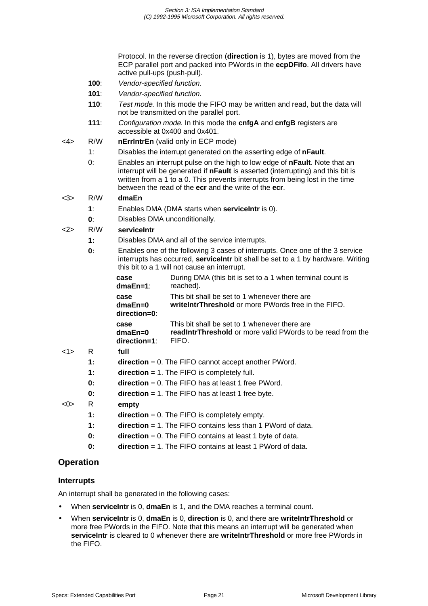Protocol. In the reverse direction (**direction** is 1), bytes are moved from the ECP parallel port and packed into PWords in the **ecpDFifo**. All drivers have active pull-ups (push-pull).

- **100**: Vendor-specified function.
- **101**: Vendor-specified function.
- **110**: Test mode. In this mode the FIFO may be written and read, but the data will not be transmitted on the parallel port.
- **111**: Configuration mode. In this mode the **cnfgA** and **cnfgB** registers are accessible at 0x400 and 0x401.
- <4> R/W **nErrIntrEn** (valid only in ECP mode)
	- 1: Disables the interrupt generated on the asserting edge of **nFault**.
	- 0: Enables an interrupt pulse on the high to low edge of **nFault**. Note that an interrupt will be generated if **nFault** is asserted (interrupting) and this bit is written from a 1 to a 0. This prevents interrupts from being lost in the time between the read of the **ecr** and the write of the **ecr**.

#### <3> R/W **dmaEn**

- **1**: Enables DMA (DMA starts when **serviceIntr** is 0).
- **0**: Disables DMA unconditionally.

#### <2> R/W **serviceIntr**

- **1:** Disables DMA and all of the service interrupts.
- **0:** Enables one of the following 3 cases of interrupts. Once one of the 3 service interrupts has occurred, **serviceIntr** bit shall be set to a 1 by hardware. Writing this bit to a 1 will not cause an interrupt.

| case                              | During DMA (this bit is set to a 1 when terminal count is                                             |
|-----------------------------------|-------------------------------------------------------------------------------------------------------|
| $dmaEn=1$ :                       | reached).                                                                                             |
| case<br>$dmaEn=0$<br>direction=0: | This bit shall be set to 1 whenever there are<br>write IntrThreshold or more PWords free in the FIFO. |
| case                              | This bit shall be set to 1 whenever there are                                                         |
| $dmaEn=0$                         | readIntrThreshold or more valid PWords to be read from the                                            |
| $direction=1$ :                   | FIFO.                                                                                                 |

#### <1> R **full**

- **1:** direction = 0. The FIFO cannot accept another PWord.
- **1: direction** = 1. The FIFO is completely full.
- **0:** direction = 0. The FIFO has at least 1 free PWord.
- **0: direction** = 1. The FIFO has at least 1 free byte.

#### <0> R **empty**

- **1: direction** = 0. The FIFO is completely empty.
- **1: direction** = 1. The FIFO contains less than 1 PWord of data.
- **0:** direction = 0. The FIFO contains at least 1 byte of data.
- **0: direction** = 1. The FIFO contains at least 1 PWord of data.

## **Operation**

#### **Interrupts**

An interrupt shall be generated in the following cases:

- When **serviceIntr** is 0, **dmaEn** is 1, and the DMA reaches a terminal count.
- When **serviceIntr** is 0, **dmaEn** is 0, **direction** is 0, and there are **writeIntrThreshold** or more free PWords in the FIFO. Note that this means an interrupt will be generated when **serviceIntr** is cleared to 0 whenever there are **writeIntrThreshold** or more free PWords in the FIFO.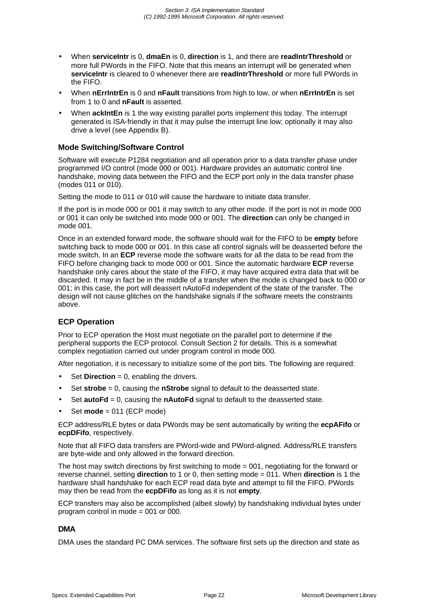- When **serviceIntr** is 0, **dmaEn** is 0, **direction** is 1, and there are **readIntrThreshold** or more full PWords in the FIFO. Note that this means an interrupt will be generated when **serviceIntr** is cleared to 0 whenever there are **readIntrThreshold** or more full PWords in the FIFO.
- When **nErrIntrEn** is 0 and **nFault** transitions from high to low, or when **nErrIntrEn** is set from 1 to 0 and **nFault** is asserted.
- When **ackIntEn** is 1 the way existing parallel ports implement this today. The interrupt generated is ISA-friendly in that it may pulse the interrupt line low; optionally it may also drive a level (see Appendix B).

#### **Mode Switching/Software Control**

Software will execute P1284 negotiation and all operation prior to a data transfer phase under programmed I/O control (mode 000 or 001). Hardware provides an automatic control line handshake, moving data between the FIFO and the ECP port only in the data transfer phase (modes 011 or 010).

Setting the mode to 011 or 010 will cause the hardware to initiate data transfer.

If the port is in mode 000 or 001 it may switch to any other mode. If the port is not in mode 000 or 001 it can only be switched into mode 000 or 001. The **direction** can only be changed in mode 001.

Once in an extended forward mode, the software should wait for the FIFO to be **empty** before switching back to mode 000 or 001. In this case all control signals will be deasserted before the mode switch. In an **ECP** reverse mode the software waits for all the data to be read from the FIFO before changing back to mode 000 or 001. Since the automatic hardware **ECP** reverse handshake only cares about the state of the FIFO, it may have acquired extra data that will be discarded. It may in fact be in the middle of a transfer when the mode is changed back to 000 or 001; in this case, the port will deassert nAutoFd independent of the state of the transfer. The design will not cause glitches on the handshake signals if the software meets the constraints above.

## **ECP Operation**

Prior to ECP operation the Host must negotiate on the parallel port to determine if the peripheral supports the ECP protocol. Consult Section 2 for details. This is a somewhat complex negotiation carried out under program control in mode 000.

After negotiation, it is necessary to initialize some of the port bits. The following are required:

- Set **Direction** = 0, enabling the drivers.
- Set **strobe** = 0, causing the **nStrobe** signal to default to the deasserted state.
- Set **autoFd** = 0, causing the **nAutoFd** signal to default to the deasserted state.
- Set **mode** = 011 (ECP mode)

ECP address/RLE bytes or data PWords may be sent automatically by writing the **ecpAFifo** or **ecpDFifo**, respectively.

Note that all FIFO data transfers are PWord-wide and PWord-aligned. Address/RLE transfers are byte-wide and only allowed in the forward direction.

The host may switch directions by first switching to mode = 001, negotiating for the forward or reverse channel, setting **direction** to 1 or 0, then setting mode = 011. When **direction** is 1 the hardware shall handshake for each ECP read data byte and attempt to fill the FIFO. PWords may then be read from the **ecpDFifo** as long as it is not **empty**.

ECP transfers may also be accomplished (albeit slowly) by handshaking individual bytes under program control in mode = 001 or 000.

#### **DMA**

DMA uses the standard PC DMA services. The software first sets up the direction and state as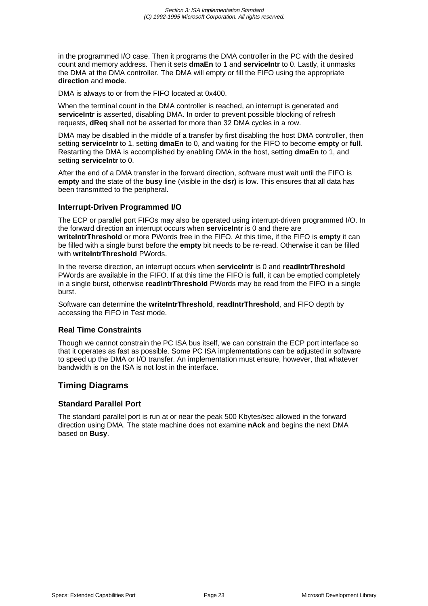in the programmed I/O case. Then it programs the DMA controller in the PC with the desired count and memory address. Then it sets **dmaEn** to 1 and **serviceIntr** to 0. Lastly, it unmasks the DMA at the DMA controller. The DMA will empty or fill the FIFO using the appropriate **direction** and **mode**.

DMA is always to or from the FIFO located at 0x400.

When the terminal count in the DMA controller is reached, an interrupt is generated and **serviceIntr** is asserted, disabling DMA. In order to prevent possible blocking of refresh requests, **dReq** shall not be asserted for more than 32 DMA cycles in a row.

DMA may be disabled in the middle of a transfer by first disabling the host DMA controller, then setting **serviceIntr** to 1, setting **dmaEn** to 0, and waiting for the FIFO to become **empty** or **full**. Restarting the DMA is accomplished by enabling DMA in the host, setting **dmaEn** to 1, and setting **serviceIntr** to 0.

After the end of a DMA transfer in the forward direction, software must wait until the FIFO is **empty** and the state of the **busy** line (visible in the **dsr)** is low. This ensures that all data has been transmitted to the peripheral.

## **Interrupt-Driven Programmed I/O**

The ECP or parallel port FIFOs may also be operated using interrupt-driven programmed I/O. In the forward direction an interrupt occurs when **serviceIntr** is 0 and there are **writeIntrThreshold** or more PWords free in the FIFO. At this time, if the FIFO is **empty** it can be filled with a single burst before the **empty** bit needs to be re-read. Otherwise it can be filled with **writeIntrThreshold** PWords.

In the reverse direction, an interrupt occurs when **serviceIntr** is 0 and **readIntrThreshold** PWords are available in the FIFO. If at this time the FIFO is **full**, it can be emptied completely in a single burst, otherwise **readIntrThreshold** PWords may be read from the FIFO in a single burst.

Software can determine the **writeIntrThreshold**, **readIntrThreshold**, and FIFO depth by accessing the FIFO in Test mode.

#### **Real Time Constraints**

Though we cannot constrain the PC ISA bus itself, we can constrain the ECP port interface so that it operates as fast as possible. Some PC ISA implementations can be adjusted in software to speed up the DMA or I/O transfer. An implementation must ensure, however, that whatever bandwidth is on the ISA is not lost in the interface.

## **Timing Diagrams**

#### **Standard Parallel Port**

The standard parallel port is run at or near the peak 500 Kbytes/sec allowed in the forward direction using DMA. The state machine does not examine **nAck** and begins the next DMA based on **Busy**.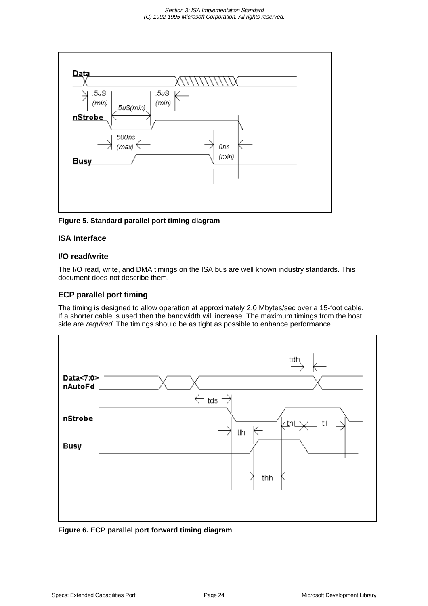

**Figure 5. Standard parallel port timing diagram**

## **ISA Interface**

#### **I/O read/write**

The I/O read, write, and DMA timings on the ISA bus are well known industry standards. This document does not describe them.

## **ECP parallel port timing**

The timing is designed to allow operation at approximately 2.0 Mbytes/sec over a 15-foot cable. If a shorter cable is used then the bandwidth will increase. The maximum timings from the host side are required. The timings should be as tight as possible to enhance performance.



**Figure 6. ECP parallel port forward timing diagram**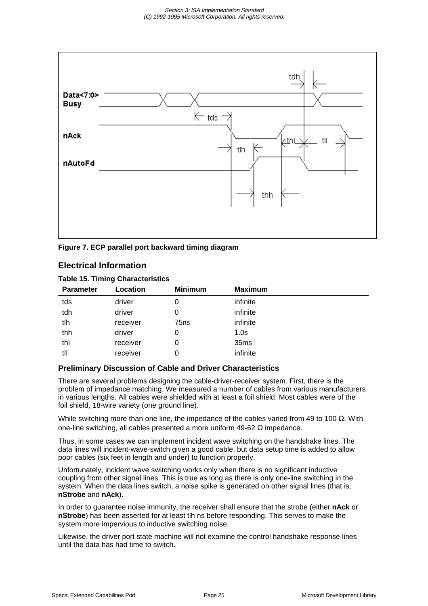

**Figure 7. ECP parallel port backward timing diagram**

## **Electrical Information**

#### **Table 15. Timing Characteristics**

| <b>Parameter</b> | Location | <b>Minimum</b>   | <b>Maximum</b>   |  |
|------------------|----------|------------------|------------------|--|
| tds              | driver   | 0                | infinite         |  |
| tdh              | driver   | 0                | infinite         |  |
| tlh              | receiver | 75 <sub>ns</sub> | infinite         |  |
| thh              | driver   | 0                | 1.0 <sub>s</sub> |  |
| thl              | receiver | 0                | 35ms             |  |
| tll              | receiver | 0                | infinite         |  |
|                  |          |                  |                  |  |

#### **Preliminary Discussion of Cable and Driver Characteristics**

There are several problems designing the cable-driver-receiver system. First, there is the problem of impedance matching. We measured a number of cables from various manufacturers in various lengths. All cables were shielded with at least a foil shield. Most cables were of the foil shield, 18-wire variety (one ground line).

While switching more than one line, the impedance of the cables varied from 49 to 100  $\Omega$ . With one-line switching, all cables presented a more uniform 49-62 Ω impedance.

Thus, in some cases we can implement incident wave switching on the handshake lines. The data lines will incident-wave-switch given a good cable, but data setup time is added to allow poor cables (six feet in length and under) to function properly.

Unfortunately, incident wave switching works only when there is no significant inductive coupling from other signal lines. This is true as long as there is only one-line switching in the system. When the data lines switch, a noise spike is generated on other signal lines (that is, **nStrobe** and **nAck**).

In order to guarantee noise immunity, the receiver shall ensure that the strobe (either **nAck** or **nStrobe**) has been asserted for at least tlh ns before responding. This serves to make the system more impervious to inductive switching noise.

Likewise, the driver port state machine will not examine the control handshake response lines until the data has had time to switch.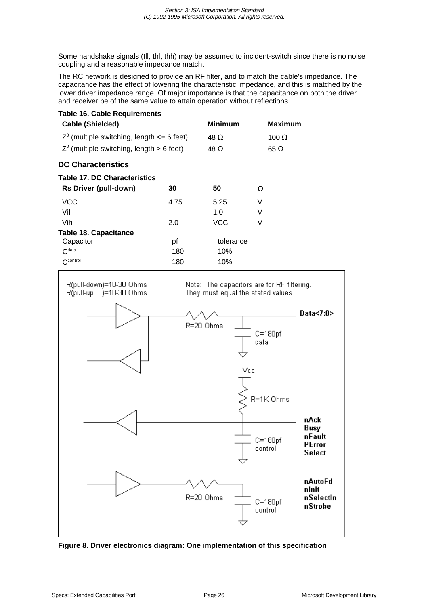Some handshake signals (tll, thl, thh) may be assumed to incident-switch since there is no noise coupling and a reasonable impedance match.

The RC network is designed to provide an RF filter, and to match the cable's impedance. The capacitance has the effect of lowering the characteristic impedance, and this is matched by the lower driver impedance range. Of major importance is that the capacitance on both the driver and receiver be of the same value to attain operation without reflections.

|  |  |  | <b>Table 16. Cable Requirements</b> |
|--|--|--|-------------------------------------|
|--|--|--|-------------------------------------|

| <b>Cable (Shielded)</b>                          |      | <b>Minimum</b> | <b>Maximum</b> |
|--------------------------------------------------|------|----------------|----------------|
| $Z^0$ (multiple switching, length $\leq 6$ feet) |      | 48 $\Omega$    | 100 $\Omega$   |
| $Z^0$ (multiple switching, length $> 6$ feet)    |      | 48 $\Omega$    | $65 \Omega$    |
| <b>DC Characteristics</b>                        |      |                |                |
| <b>Table 17. DC Characteristics</b>              |      |                |                |
| <b>Rs Driver (pull-down)</b>                     | 30   | 50             | Ω              |
| <b>VCC</b>                                       | 4.75 | 5.25           | V              |
| Vil                                              |      | 1.0            | V              |
| Vih                                              | 2.0  | VCC            | V              |
| <b>Table 18. Capacitance</b>                     |      |                |                |
| Capacitor                                        | рf   | tolerance      |                |
| C <sup>data</sup>                                | 180  | 10%            |                |
| $C^{\text{control}}$                             | 180  | 10%            |                |



**Figure 8. Driver electronics diagram: One implementation of this specification**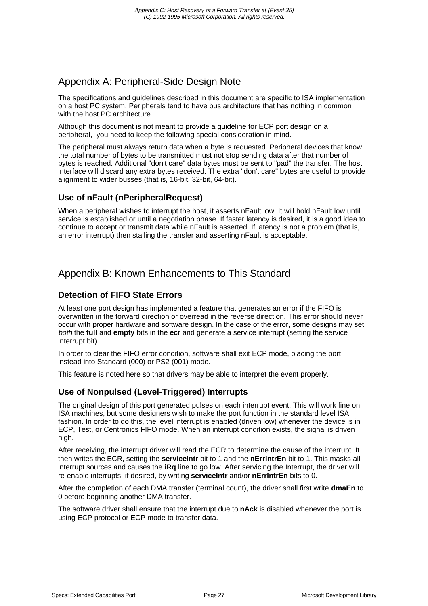# Appendix A: Peripheral-Side Design Note

The specifications and guidelines described in this document are specific to ISA implementation on a host PC system. Peripherals tend to have bus architecture that has nothing in common with the host PC architecture.

Although this document is not meant to provide a guideline for ECP port design on a peripheral, you need to keep the following special consideration in mind.

The peripheral must always return data when a byte is requested. Peripheral devices that know the total number of bytes to be transmitted must not stop sending data after that number of bytes is reached. Additional "don't care" data bytes must be sent to "pad" the transfer. The host interface will discard any extra bytes received. The extra "don't care" bytes are useful to provide alignment to wider busses (that is, 16-bit, 32-bit, 64-bit).

## **Use of nFault (nPeripheralRequest)**

When a peripheral wishes to interrupt the host, it asserts nFault low. It will hold nFault low until service is established or until a negotiation phase. If faster latency is desired, it is a good idea to continue to accept or transmit data while nFault is asserted. If latency is not a problem (that is, an error interrupt) then stalling the transfer and asserting nFault is acceptable.

# Appendix B: Known Enhancements to This Standard

## **Detection of FIFO State Errors**

At least one port design has implemented a feature that generates an error if the FIFO is overwritten in the forward direction or overread in the reverse direction. This error should never occur with proper hardware and software design. In the case of the error, some designs may set both the **full** and **empty** bits in the **ecr** and generate a service interrupt (setting the service interrupt bit).

In order to clear the FIFO error condition, software shall exit ECP mode, placing the port instead into Standard (000) or PS2 (001) mode.

This feature is noted here so that drivers may be able to interpret the event properly.

## **Use of Nonpulsed (Level-Triggered) Interrupts**

The original design of this port generated pulses on each interrupt event. This will work fine on ISA machines, but some designers wish to make the port function in the standard level ISA fashion. In order to do this, the level interrupt is enabled (driven low) whenever the device is in ECP, Test, or Centronics FIFO mode. When an interrupt condition exists, the signal is driven high.

After receiving, the interrupt driver will read the ECR to determine the cause of the interrupt. It then writes the ECR, setting the **serviceIntr** bit to 1 and the **nErrIntrEn** bit to 1. This masks all interrupt sources and causes the **iRq** line to go low. After servicing the Interrupt, the driver will re-enable interrupts, if desired, by writing **serviceIntr** and/or **nErrIntrEn** bits to 0.

After the completion of each DMA transfer (terminal count), the driver shall first write **dmaEn** to 0 before beginning another DMA transfer.

The software driver shall ensure that the interrupt due to **nAck** is disabled whenever the port is using ECP protocol or ECP mode to transfer data.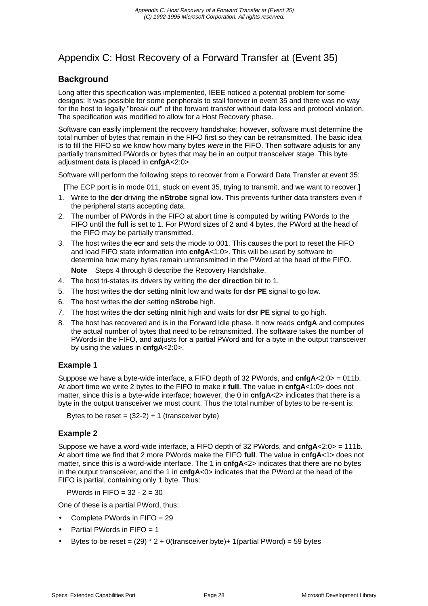# Appendix C: Host Recovery of a Forward Transfer at (Event 35)

## **Background**

Long after this specification was implemented, IEEE noticed a potential problem for some designs: It was possible for some peripherals to stall forever in event 35 and there was no way for the host to legally "break out" of the forward transfer without data loss and protocol violation. The specification was modified to allow for a Host Recovery phase.

Software can easily implement the recovery handshake; however, software must determine the total number of bytes that remain in the FIFO first so they can be retransmitted. The basic idea is to fill the FIFO so we know how many bytes were in the FIFO. Then software adjusts for any partially transmitted PWords or bytes that may be in an output transceiver stage. This byte adjustment data is placed in **cnfgA**<2:0>.

Software will perform the following steps to recover from a Forward Data Transfer at event 35:

[The ECP port is in mode 011, stuck on event 35, trying to transmit, and we want to recover.]

- 1. Write to the **dcr** driving the **nStrobe** signal low. This prevents further data transfers even if the peripheral starts accepting data.
- 2. The number of PWords in the FIFO at abort time is computed by writing PWords to the FIFO until the **full** is set to 1. For PWord sizes of 2 and 4 bytes, the PWord at the head of the FIFO may be partially transmitted.
- 3. The host writes the **ecr** and sets the mode to 001. This causes the port to reset the FIFO and load FIFO state information into **cnfgA**<1:0>. This will be used by software to determine how many bytes remain untransmitted in the PWord at the head of the FIFO.

**Note** Steps 4 through 8 describe the Recovery Handshake.

- 4. The host tri-states its drivers by writing the **dcr direction** bit to 1.
- 5. The host writes the **dcr** setting **nInit** low and waits for **dsr PE** signal to go low.
- 6. The host writes the **dcr** setting **nStrobe** high.
- 7. The host writes the **dcr** setting **nInit** high and waits for **dsr PE** signal to go high.
- 8. The host has recovered and is in the Forward Idle phase. It now reads **cnfgA** and computes the actual number of bytes that need to be retransmitted. The software takes the number of PWords in the FIFO, and adjusts for a partial PWord and for a byte in the output transceiver by using the values in **cnfgA**<2:0>.

## **Example 1**

Suppose we have a byte-wide interface, a FIFO depth of 32 PWords, and **cnfgA**<2:0> = 011b. At abort time we write 2 bytes to the FIFO to make it **full**. The value in **cnfgA**<1:0> does not matter, since this is a byte-wide interface; however, the 0 in **cnfgA**<2> indicates that there is a byte in the output transceiver we must count. Thus the total number of bytes to be re-sent is:

Bytes to be reset =  $(32-2) + 1$  (transceiver byte)

## **Example 2**

Suppose we have a word-wide interface, a FIFO depth of 32 PWords, and **cnfgA**<2:0> = 111b. At abort time we find that 2 more PWords make the FIFO **full**. The value in **cnfgA**<1> does not matter, since this is a word-wide interface. The 1 in **cnfgA**<2> indicates that there are no bytes in the output transceiver, and the 1 in **cnfgA**<0> indicates that the PWord at the head of the FIFO is partial, containing only 1 byte. Thus:

PWords in  $FIFO = 32 - 2 = 30$ 

One of these is a partial PWord, thus:

- Complete PWords in FIFO = 29
- Partial PWords in  $FIFO = 1$
- Bytes to be reset =  $(29)$  \* 2 + 0(transceiver byte)+ 1(partial PWord) = 59 bytes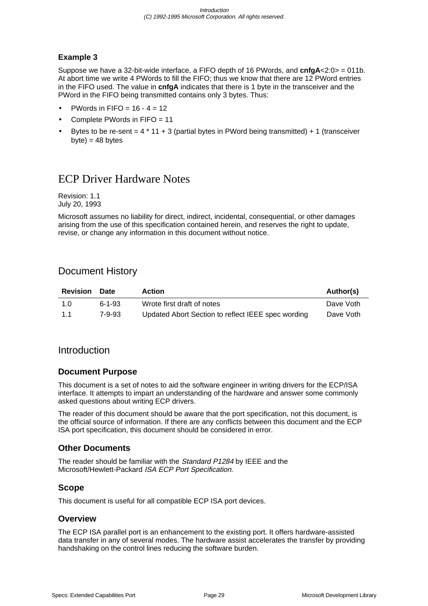## **Example 3**

Suppose we have a 32-bit-wide interface, a FIFO depth of 16 PWords, and **cnfgA**<2:0> = 011b. At abort time we write 4 PWords to fill the FIFO; thus we know that there are 12 PWord entries in the FIFO used. The value in **cnfgA** indicates that there is 1 byte in the transceiver and the PWord in the FIFO being transmitted contains only 3 bytes. Thus:

- PWords in FIFO =  $16 4 = 12$
- Complete PWords in FIFO = 11
- Bytes to be re-sent  $= 4 * 11 + 3$  (partial bytes in PWord being transmitted) + 1 (transceiver  $b$ yte) = 48 bytes

# ECP Driver Hardware Notes

Revision: 1.1 July 20, 1993

Microsoft assumes no liability for direct, indirect, incidental, consequential, or other damages arising from the use of this specification contained herein, and reserves the right to update, revise, or change any information in this document without notice.

# Document History

| <b>Revision</b> | <b>Date</b>  | <b>Action</b>                                      | Author(s) |
|-----------------|--------------|----------------------------------------------------|-----------|
| 1.0             | $6 - 1 - 93$ | Wrote first draft of notes                         | Dave Voth |
| 11              | 7-9-93       | Updated Abort Section to reflect IEEE spec wording | Dave Voth |

## Introduction

## **Document Purpose**

This document is a set of notes to aid the software engineer in writing drivers for the ECP/ISA interface. It attempts to impart an understanding of the hardware and answer some commonly asked questions about writing ECP drivers.

The reader of this document should be aware that the port specification, not this document, is the official source of information. If there are any conflicts between this document and the ECP ISA port specification, this document should be considered in error.

## **Other Documents**

The reader should be familiar with the Standard P1284 by IEEE and the Microsoft/Hewlett-Packard ISA ECP Port Specification.

## **Scope**

This document is useful for all compatible ECP ISA port devices.

## **Overview**

The ECP ISA parallel port is an enhancement to the existing port. It offers hardware-assisted data transfer in any of several modes. The hardware assist accelerates the transfer by providing handshaking on the control lines reducing the software burden.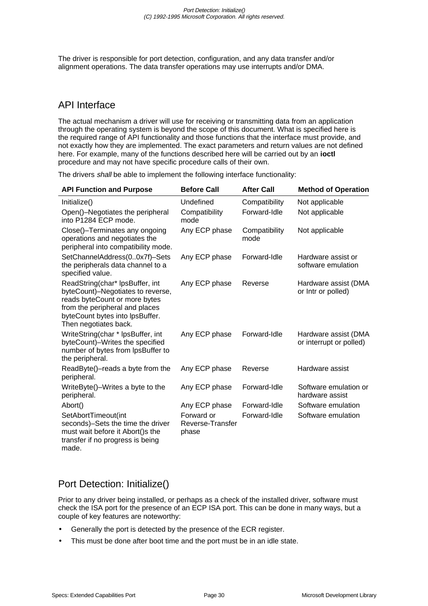The driver is responsible for port detection, configuration, and any data transfer and/or alignment operations. The data transfer operations may use interrupts and/or DMA.

# API Interface

The actual mechanism a driver will use for receiving or transmitting data from an application through the operating system is beyond the scope of this document. What is specified here is the required range of API functionality and those functions that the interface must provide, and not exactly how they are implemented. The exact parameters and return values are not defined here. For example, many of the functions described here will be carried out by an **ioctl** procedure and may not have specific procedure calls of their own.

The drivers shall be able to implement the following interface functionality:

| <b>API Function and Purpose</b>                                                                                                                                                                     | <b>Before Call</b>                      | <b>After Call</b>     | <b>Method of Operation</b>                      |
|-----------------------------------------------------------------------------------------------------------------------------------------------------------------------------------------------------|-----------------------------------------|-----------------------|-------------------------------------------------|
| Initialize()                                                                                                                                                                                        | Undefined                               | Compatibility         | Not applicable                                  |
| Open()-Negotiates the peripheral<br>into P1284 ECP mode.                                                                                                                                            | Compatibility<br>mode                   | Forward-Idle          | Not applicable                                  |
| Close()-Terminates any ongoing<br>operations and negotiates the<br>peripheral into compatibility mode.                                                                                              | Any ECP phase                           | Compatibility<br>mode | Not applicable                                  |
| SetChannelAddress(00x7f)-Sets<br>the peripherals data channel to a<br>specified value.                                                                                                              | Any ECP phase                           | Forward-Idle          | Hardware assist or<br>software emulation        |
| ReadString(char* lpsBuffer, int<br>byteCount)-Negotiates to reverse,<br>reads byteCount or more bytes<br>from the peripheral and places<br>byteCount bytes into lpsBuffer.<br>Then negotiates back. | Any ECP phase                           | Reverse               | Hardware assist (DMA<br>or Intr or polled)      |
| WriteString(char * lpsBuffer, int<br>byteCount)-Writes the specified<br>number of bytes from lpsBuffer to<br>the peripheral.                                                                        | Any ECP phase                           | Forward-Idle          | Hardware assist (DMA<br>or interrupt or polled) |
| ReadByte()-reads a byte from the<br>peripheral.                                                                                                                                                     | Any ECP phase                           | Reverse               | Hardware assist                                 |
| WriteByte()-Writes a byte to the<br>peripheral.                                                                                                                                                     | Any ECP phase                           | Forward-Idle          | Software emulation or<br>hardware assist        |
| Abort()                                                                                                                                                                                             | Any ECP phase                           | Forward-Idle          | Software emulation                              |
| SetAbortTimeout(int<br>seconds)-Sets the time the driver<br>must wait before it Abort()s the<br>transfer if no progress is being<br>made.                                                           | Forward or<br>Reverse-Transfer<br>phase | Forward-Idle          | Software emulation                              |

# Port Detection: Initialize()

Prior to any driver being installed, or perhaps as a check of the installed driver, software must check the ISA port for the presence of an ECP ISA port. This can be done in many ways, but a couple of key features are noteworthy:

- Generally the port is detected by the presence of the ECR register.
- This must be done after boot time and the port must be in an idle state.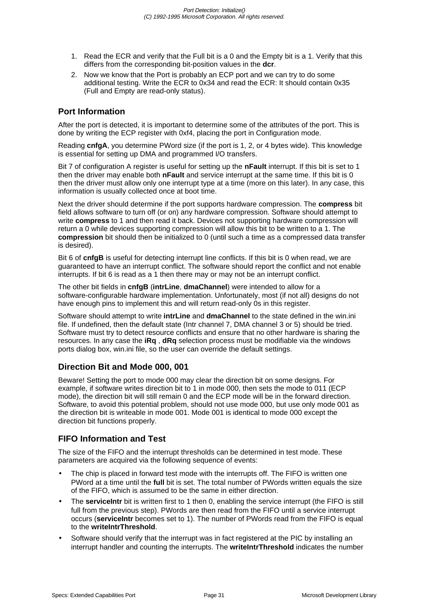- 1. Read the ECR and verify that the Full bit is a 0 and the Empty bit is a 1. Verify that this differs from the corresponding bit-position values in the **dcr**.
- 2. Now we know that the Port is probably an ECP port and we can try to do some additional testing. Write the ECR to 0x34 and read the ECR: It should contain 0x35 (Full and Empty are read-only status).

## **Port Information**

After the port is detected, it is important to determine some of the attributes of the port. This is done by writing the ECP register with 0xf4, placing the port in Configuration mode.

Reading **cnfgA**, you determine PWord size (if the port is 1, 2, or 4 bytes wide). This knowledge is essential for setting up DMA and programmed I/O transfers.

Bit 7 of configuration A register is useful for setting up the **nFault** interrupt. If this bit is set to 1 then the driver may enable both **nFault** and service interrupt at the same time. If this bit is 0 then the driver must allow only one interrupt type at a time (more on this later). In any case, this information is usually collected once at boot time.

Next the driver should determine if the port supports hardware compression. The **compress** bit field allows software to turn off (or on) any hardware compression. Software should attempt to write **compress** to 1 and then read it back. Devices not supporting hardware compression will return a 0 while devices supporting compression will allow this bit to be written to a 1. The **compression** bit should then be initialized to 0 (until such a time as a compressed data transfer is desired).

Bit 6 of **cnfgB** is useful for detecting interrupt line conflicts. If this bit is 0 when read, we are guaranteed to have an interrupt conflict. The software should report the conflict and not enable interrupts. If bit 6 is read as a 1 then there may or may not be an interrupt conflict.

The other bit fields in **cnfgB** (**intrLine**, **dmaChannel**) were intended to allow for a software-configurable hardware implementation. Unfortunately, most (if not all) designs do not have enough pins to implement this and will return read-only 0s in this register.

Software should attempt to write **intrLine** and **dmaChannel** to the state defined in the win.ini file. If undefined, then the default state (Intr channel 7, DMA channel 3 or 5) should be tried. Software must try to detect resource conflicts and ensure that no other hardware is sharing the resources. In any case the **iRq** , **dRq** selection process must be modifiable via the windows ports dialog box, win.ini file, so the user can override the default settings.

## **Direction Bit and Mode 000, 001**

Beware! Setting the port to mode 000 may clear the direction bit on some designs. For example, if software writes direction bit to 1 in mode 000, then sets the mode to 011 (ECP mode), the direction bit will still remain 0 and the ECP mode will be in the forward direction. Software, to avoid this potential problem, should not use mode 000, but use only mode 001 as the direction bit is writeable in mode 001. Mode 001 is identical to mode 000 except the direction bit functions properly.

## **FIFO Information and Test**

The size of the FIFO and the interrupt thresholds can be determined in test mode. These parameters are acquired via the following sequence of events:

- The chip is placed in forward test mode with the interrupts off. The FIFO is written one PWord at a time until the **full** bit is set. The total number of PWords written equals the size of the FIFO, which is assumed to be the same in either direction.
- The **serviceIntr** bit is written first to 1 then 0, enabling the service interrupt (the FIFO is still full from the previous step). PWords are then read from the FIFO until a service interrupt occurs (**serviceIntr** becomes set to 1). The number of PWords read from the FIFO is equal to the **writeIntrThreshold**.
- Software should verify that the interrupt was in fact registered at the PIC by installing an interrupt handler and counting the interrupts. The **writeIntrThreshold** indicates the number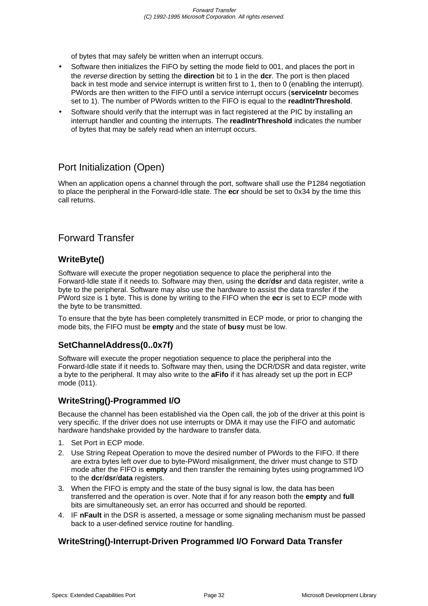of bytes that may safely be written when an interrupt occurs.

- Software then initializes the FIFO by setting the mode field to 001, and places the port in the reverse direction by setting the **direction** bit to 1 in the **dcr**. The port is then placed back in test mode and service interrupt is written first to 1, then to 0 (enabling the interrupt). PWords are then written to the FIFO until a service interrupt occurs (**serviceIntr** becomes set to 1). The number of PWords written to the FIFO is equal to the **readIntrThreshold**.
- Software should verify that the interrupt was in fact registered at the PIC by installing an interrupt handler and counting the interrupts. The **readIntrThreshold** indicates the number of bytes that may be safely read when an interrupt occurs.

# Port Initialization (Open)

When an application opens a channel through the port, software shall use the P1284 negotiation to place the peripheral in the Forward-Idle state. The **ecr** should be set to 0x34 by the time this call returns.

# Forward Transfer

## **WriteByte()**

Software will execute the proper negotiation sequence to place the peripheral into the Forward-Idle state if it needs to. Software may then, using the **dcr**/**dsr** and data register, write a byte to the peripheral. Software may also use the hardware to assist the data transfer if the PWord size is 1 byte. This is done by writing to the FIFO when the **ecr** is set to ECP mode with the byte to be transmitted.

To ensure that the byte has been completely transmitted in ECP mode, or prior to changing the mode bits, the FIFO must be **empty** and the state of **busy** must be low.

## **SetChannelAddress(0..0x7f)**

Software will execute the proper negotiation sequence to place the peripheral into the Forward-Idle state if it needs to. Software may then, using the DCR/DSR and data register, write a byte to the peripheral. It may also write to the **aFifo** if it has already set up the port in ECP mode (011).

## **WriteString()-Programmed I/O**

Because the channel has been established via the Open call, the job of the driver at this point is very specific. If the driver does not use interrupts or DMA it may use the FIFO and automatic hardware handshake provided by the hardware to transfer data.

- 1. Set Port in ECP mode.
- 2. Use String Repeat Operation to move the desired number of PWords to the FIFO. If there are extra bytes left over due to byte-PWord misalignment, the driver must change to STD mode after the FIFO is **empty** and then transfer the remaining bytes using programmed I/O to the **dcr**/**dsr**/**data** registers.
- 3. When the FIFO is empty and the state of the busy signal is low, the data has been transferred and the operation is over. Note that if for any reason both the **empty** and **full** bits are simultaneously set, an error has occurred and should be reported.
- 4. IF **nFault** in the DSR is asserted, a message or some signaling mechanism must be passed back to a user-defined service routine for handling.

## **WriteString()-Interrupt-Driven Programmed I/O Forward Data Transfer**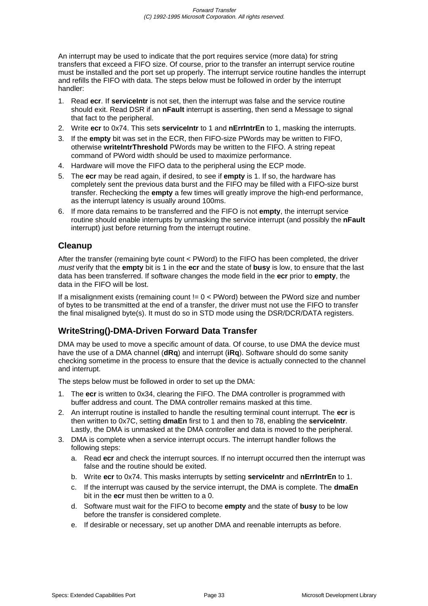An interrupt may be used to indicate that the port requires service (more data) for string transfers that exceed a FIFO size. Of course, prior to the transfer an interrupt service routine must be installed and the port set up properly. The interrupt service routine handles the interrupt and refills the FIFO with data. The steps below must be followed in order by the interrupt handler:

- 1. Read **ecr**. If **serviceIntr** is not set, then the interrupt was false and the service routine should exit. Read DSR if an **nFault** interrupt is asserting, then send a Message to signal that fact to the peripheral.
- 2. Write **ecr** to 0x74. This sets **serviceIntr** to 1 and **nErrIntrEn** to 1, masking the interrupts.
- 3. If the **empty** bit was set in the ECR, then FIFO-size PWords may be written to FIFO, otherwise **writeIntrThreshold** PWords may be written to the FIFO. A string repeat command of PWord width should be used to maximize performance.
- 4. Hardware will move the FIFO data to the peripheral using the ECP mode.
- 5. The **ecr** may be read again, if desired, to see if **empty** is 1. If so, the hardware has completely sent the previous data burst and the FIFO may be filled with a FIFO-size burst transfer. Rechecking the **empty** a few times will greatly improve the high-end performance, as the interrupt latency is usually around 100ms.
- 6. If more data remains to be transferred and the FIFO is not **empty**, the interrupt service routine should enable interrupts by unmasking the service interrupt (and possibly the **nFault** interrupt) just before returning from the interrupt routine.

## **Cleanup**

After the transfer (remaining byte count < PWord) to the FIFO has been completed, the driver must verify that the **empty** bit is 1 in the **ecr** and the state of **busy** is low, to ensure that the last data has been transferred. If software changes the mode field in the **ecr** prior to **empty**, the data in the FIFO will be lost.

If a misalignment exists (remaining count  $l = 0 <$  PWord) between the PWord size and number of bytes to be transmitted at the end of a transfer, the driver must not use the FIFO to transfer the final misaligned byte(s). It must do so in STD mode using the DSR/DCR/DATA registers.

## **WriteString()-DMA-Driven Forward Data Transfer**

DMA may be used to move a specific amount of data. Of course, to use DMA the device must have the use of a DMA channel (**dRq**) and interrupt (**iRq**). Software should do some sanity checking sometime in the process to ensure that the device is actually connected to the channel and interrupt.

The steps below must be followed in order to set up the DMA:

- 1. The **ecr** is written to 0x34, clearing the FIFO. The DMA controller is programmed with buffer address and count. The DMA controller remains masked at this time.
- 2. An interrupt routine is installed to handle the resulting terminal count interrupt. The **ecr** is then written to 0x7C, setting **dmaEn** first to 1 and then to 78, enabling the **serviceIntr**. Lastly, the DMA is unmasked at the DMA controller and data is moved to the peripheral.
- 3. DMA is complete when a service interrupt occurs. The interrupt handler follows the following steps:
	- a. Read **ecr** and check the interrupt sources. If no interrupt occurred then the interrupt was false and the routine should be exited.
	- b. Write **ecr** to 0x74. This masks interrupts by setting **serviceIntr** and **nErrIntrEn** to 1.
	- c. If the interrupt was caused by the service interrupt, the DMA is complete. The **dmaEn** bit in the **ecr** must then be written to a 0.
	- d. Software must wait for the FIFO to become **empty** and the state of **busy** to be low before the transfer is considered complete.
	- e. If desirable or necessary, set up another DMA and reenable interrupts as before.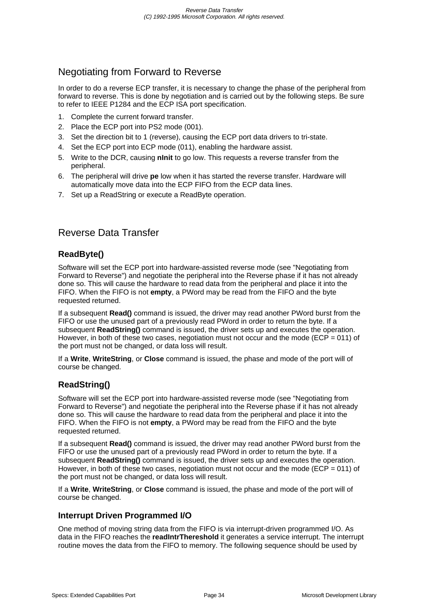# Negotiating from Forward to Reverse

In order to do a reverse ECP transfer, it is necessary to change the phase of the peripheral from forward to reverse. This is done by negotiation and is carried out by the following steps. Be sure to refer to IEEE P1284 and the ECP ISA port specification.

- 1. Complete the current forward transfer.
- 2. Place the ECP port into PS2 mode (001).
- 3. Set the direction bit to 1 (reverse), causing the ECP port data drivers to tri-state.
- 4. Set the ECP port into ECP mode (011), enabling the hardware assist.
- 5. Write to the DCR, causing **nInit** to go low. This requests a reverse transfer from the peripheral.
- 6. The peripheral will drive **pe** low when it has started the reverse transfer. Hardware will automatically move data into the ECP FIFO from the ECP data lines.
- 7. Set up a ReadString or execute a ReadByte operation.

# Reverse Data Transfer

## **ReadByte()**

Software will set the ECP port into hardware-assisted reverse mode (see "Negotiating from Forward to Reverse") and negotiate the peripheral into the Reverse phase if it has not already done so. This will cause the hardware to read data from the peripheral and place it into the FIFO. When the FIFO is not **empty**, a PWord may be read from the FIFO and the byte requested returned.

If a subsequent **Read()** command is issued, the driver may read another PWord burst from the FIFO or use the unused part of a previously read PWord in order to return the byte. If a subsequent **ReadString()** command is issued, the driver sets up and executes the operation. However, in both of these two cases, negotiation must not occur and the mode (ECP = 011) of the port must not be changed, or data loss will result.

If a **Write**, **WriteString**, or **Close** command is issued, the phase and mode of the port will of course be changed.

# **ReadString()**

Software will set the ECP port into hardware-assisted reverse mode (see "Negotiating from Forward to Reverse") and negotiate the peripheral into the Reverse phase if it has not already done so. This will cause the hardware to read data from the peripheral and place it into the FIFO. When the FIFO is not **empty**, a PWord may be read from the FIFO and the byte requested returned.

If a subsequent **Read()** command is issued, the driver may read another PWord burst from the FIFO or use the unused part of a previously read PWord in order to return the byte. If a subsequent **ReadString()** command is issued, the driver sets up and executes the operation. However, in both of these two cases, negotiation must not occur and the mode ( $ECP = 011$ ) of the port must not be changed, or data loss will result.

If a **Write**, **WriteString**, or **Close** command is issued, the phase and mode of the port will of course be changed.

## **Interrupt Driven Programmed I/O**

One method of moving string data from the FIFO is via interrupt-driven programmed I/O. As data in the FIFO reaches the **readIntrThereshold** it generates a service interrupt. The interrupt routine moves the data from the FIFO to memory. The following sequence should be used by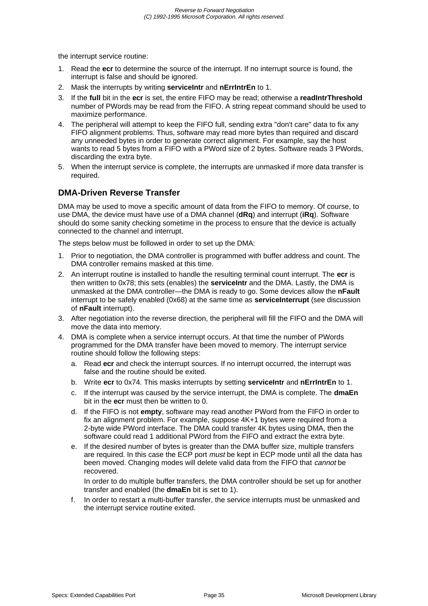the interrupt service routine:

- 1. Read the **ecr** to determine the source of the interrupt. If no interrupt source is found, the interrupt is false and should be ignored.
- 2. Mask the interrupts by writing **serviceIntr** and **nErrIntrEn** to 1.
- 3. If the **full** bit in the **ecr** is set, the entire FIFO may be read; otherwise a **readIntrThreshold** number of PWords may be read from the FIFO. A string repeat command should be used to maximize performance.
- 4. The peripheral will attempt to keep the FIFO full, sending extra "don't care" data to fix any FIFO alignment problems. Thus, software may read more bytes than required and discard any unneeded bytes in order to generate correct alignment. For example, say the host wants to read 5 bytes from a FIFO with a PWord size of 2 bytes. Software reads 3 PWords, discarding the extra byte.
- 5. When the interrupt service is complete, the interrupts are unmasked if more data transfer is required.

## **DMA-Driven Reverse Transfer**

DMA may be used to move a specific amount of data from the FIFO to memory. Of course, to use DMA, the device must have use of a DMA channel (**dRq**) and interrupt (**iRq**). Software should do some sanity checking sometime in the process to ensure that the device is actually connected to the channel and interrupt.

The steps below must be followed in order to set up the DMA:

- 1. Prior to negotiation, the DMA controller is programmed with buffer address and count. The DMA controller remains masked at this time.
- 2. An interrupt routine is installed to handle the resulting terminal count interrupt. The **ecr** is then written to 0x78; this sets (enables) the **serviceIntr** and the DMA. Lastly, the DMA is unmasked at the DMA controller—the DMA is ready to go. Some devices allow the **nFault** interrupt to be safely enabled (0x68) at the same time as **serviceInterrupt** (see discussion of **nFault** interrupt).
- 3. After negotiation into the reverse direction, the peripheral will fill the FIFO and the DMA will move the data into memory.
- 4. DMA is complete when a service interrupt occurs. At that time the number of PWords programmed for the DMA transfer have been moved to memory. The interrupt service routine should follow the following steps:
	- a. Read **ecr** and check the interrupt sources. If no interrupt occurred, the interrupt was false and the routine should be exited.
	- b. Write **ecr** to 0x74. This masks interrupts by setting **serviceIntr** and **nErrIntrEn** to 1.
	- c. If the interrupt was caused by the service interrupt, the DMA is complete. The **dmaEn** bit in the **ecr** must then be written to 0.
	- d. If the FIFO is not **empty**, software may read another PWord from the FIFO in order to fix an alignment problem. For example, suppose 4K+1 bytes were required from a 2-byte wide PWord interface. The DMA could transfer 4K bytes using DMA, then the software could read 1 additional PWord from the FIFO and extract the extra byte.
	- e. If the desired number of bytes is greater than the DMA buffer size, multiple transfers are required. In this case the ECP port *must* be kept in ECP mode until all the data has been moved. Changing modes will delete valid data from the FIFO that cannot be recovered.

In order to do multiple buffer transfers, the DMA controller should be set up for another transfer and enabled (the **dmaEn** bit is set to 1).

f. In order to restart a multi-buffer transfer, the service interrupts must be unmasked and the interrupt service routine exited.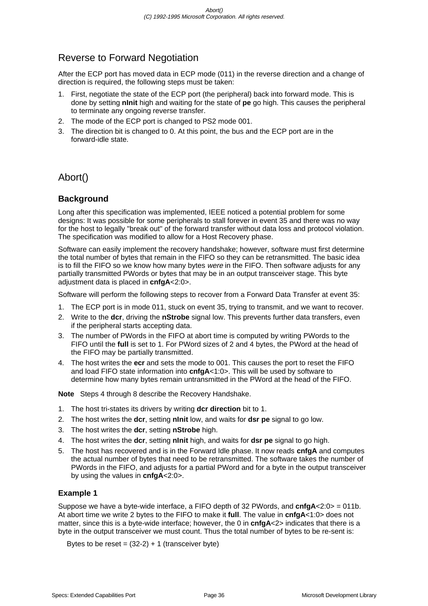# Reverse to Forward Negotiation

After the ECP port has moved data in ECP mode (011) in the reverse direction and a change of direction is required, the following steps must be taken:

- 1. First, negotiate the state of the ECP port (the peripheral) back into forward mode. This is done by setting **nInit** high and waiting for the state of **pe** go high. This causes the peripheral to terminate any ongoing reverse transfer.
- 2. The mode of the ECP port is changed to PS2 mode 001.
- 3. The direction bit is changed to 0. At this point, the bus and the ECP port are in the forward-idle state.

Abort()

# **Background**

Long after this specification was implemented, IEEE noticed a potential problem for some designs: It was possible for some peripherals to stall forever in event 35 and there was no way for the host to legally "break out" of the forward transfer without data loss and protocol violation. The specification was modified to allow for a Host Recovery phase.

Software can easily implement the recovery handshake; however, software must first determine the total number of bytes that remain in the FIFO so they can be retransmitted. The basic idea is to fill the FIFO so we know how many bytes were in the FIFO. Then software adjusts for any partially transmitted PWords or bytes that may be in an output transceiver stage. This byte adjustment data is placed in **cnfgA**<2:0>.

Software will perform the following steps to recover from a Forward Data Transfer at event 35:

- 1. The ECP port is in mode 011, stuck on event 35, trying to transmit, and we want to recover.
- 2. Write to the **dcr**, driving the **nStrobe** signal low. This prevents further data transfers, even if the peripheral starts accepting data.
- 3. The number of PWords in the FIFO at abort time is computed by writing PWords to the FIFO until the **full** is set to 1. For PWord sizes of 2 and 4 bytes, the PWord at the head of the FIFO may be partially transmitted.
- 4. The host writes the **ecr** and sets the mode to 001. This causes the port to reset the FIFO and load FIFO state information into **cnfgA**<1:0>. This will be used by software to determine how many bytes remain untransmitted in the PWord at the head of the FIFO.

**Note** Steps 4 through 8 describe the Recovery Handshake.

- 1. The host tri-states its drivers by writing **dcr direction** bit to 1.
- 2. The host writes the **dcr**, setting **nInit** low, and waits for **dsr pe** signal to go low.
- 3. The host writes the **dcr**, setting **nStrobe** high.
- 4. The host writes the **dcr**, setting **nInit** high, and waits for **dsr pe** signal to go high.
- 5. The host has recovered and is in the Forward Idle phase. It now reads **cnfgA** and computes the actual number of bytes that need to be retransmitted. The software takes the number of PWords in the FIFO, and adjusts for a partial PWord and for a byte in the output transceiver by using the values in **cnfgA**<2:0>.

## **Example 1**

Suppose we have a byte-wide interface, a FIFO depth of 32 PWords, and **cnfgA**<2:0> = 011b. At abort time we write 2 bytes to the FIFO to make it **full**. The value in **cnfgA**<1:0> does not matter, since this is a byte-wide interface; however, the 0 in **cnfgA**<2> indicates that there is a byte in the output transceiver we must count. Thus the total number of bytes to be re-sent is:

Bytes to be reset =  $(32-2) + 1$  (transceiver byte)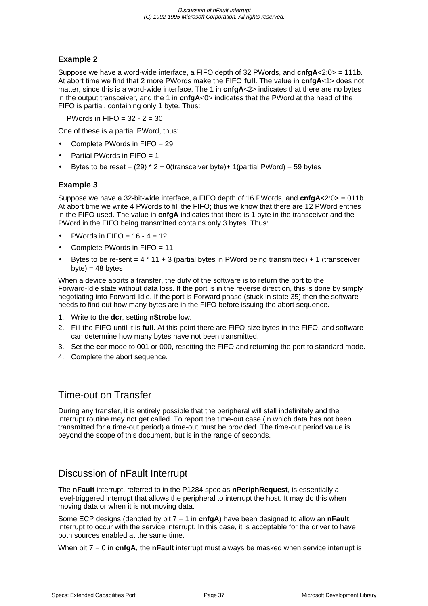## **Example 2**

Suppose we have a word-wide interface, a FIFO depth of 32 PWords, and **cnfgA**<2:0> = 111b. At abort time we find that 2 more PWords make the FIFO **full**. The value in **cnfgA**<1> does not matter, since this is a word-wide interface. The 1 in **cnfgA**<2> indicates that there are no bytes in the output transceiver, and the 1 in **cnfgA**<0> indicates that the PWord at the head of the FIFO is partial, containing only 1 byte. Thus:

PWords in  $FIFO = 32 - 2 = 30$ 

One of these is a partial PWord, thus:

- Complete PWords in FIFO = 29
- Partial PWords in FIFO = 1
- Bytes to be reset =  $(29)$  \* 2 + 0(transceiver byte)+ 1(partial PWord) = 59 bytes

## **Example 3**

Suppose we have a 32-bit-wide interface, a FIFO depth of 16 PWords, and **cnfgA**<2:0> = 011b. At abort time we write 4 PWords to fill the FIFO; thus we know that there are 12 PWord entries in the FIFO used. The value in **cnfgA** indicates that there is 1 byte in the transceiver and the PWord in the FIFO being transmitted contains only 3 bytes. Thus:

- PWords in FIFO =  $16 4 = 12$
- Complete PWords in FIFO = 11
- Bytes to be re-sent  $= 4 * 11 + 3$  (partial bytes in PWord being transmitted) + 1 (transceiver  $byte) = 48 bytes$

When a device aborts a transfer, the duty of the software is to return the port to the Forward-Idle state without data loss. If the port is in the reverse direction, this is done by simply negotiating into Forward-Idle. If the port is Forward phase (stuck in state 35) then the software needs to find out how many bytes are in the FIFO before issuing the abort sequence.

- 1. Write to the **dcr**, setting **nStrobe** low.
- 2. Fill the FIFO until it is **full**. At this point there are FIFO-size bytes in the FIFO, and software can determine how many bytes have not been transmitted.
- 3. Set the **ecr** mode to 001 or 000, resetting the FIFO and returning the port to standard mode.
- 4. Complete the abort sequence.

# Time-out on Transfer

During any transfer, it is entirely possible that the peripheral will stall indefinitely and the interrupt routine may not get called. To report the time-out case (in which data has not been transmitted for a time-out period) a time-out must be provided. The time-out period value is beyond the scope of this document, but is in the range of seconds.

# Discussion of nFault Interrupt

The **nFault** interrupt, referred to in the P1284 spec as **nPeriphRequest**, is essentially a level-triggered interrupt that allows the peripheral to interrupt the host. It may do this when moving data or when it is not moving data.

Some ECP designs (denoted by bit 7 = 1 in **cnfgA**) have been designed to allow an **nFault** interrupt to occur with the service interrupt. In this case, it is acceptable for the driver to have both sources enabled at the same time.

When bit 7 = 0 in **cnfgA**, the **nFault** interrupt must always be masked when service interrupt is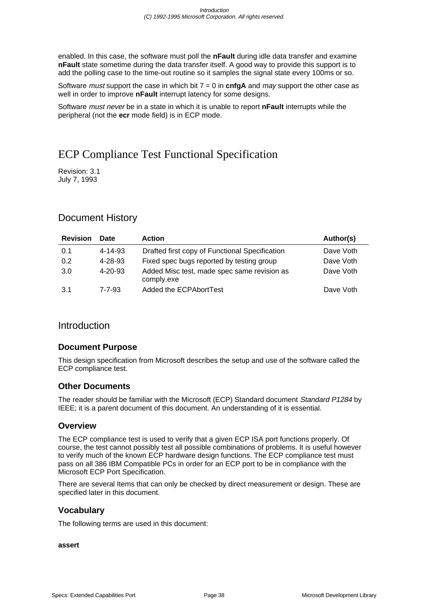enabled. In this case, the software must poll the **nFault** during idle data transfer and examine **nFault** state sometime during the data transfer itself. A good way to provide this support is to add the polling case to the time-out routine so it samples the signal state every 100ms or so.

Software *must* support the case in which bit  $7 = 0$  in **cnfgA** and *may* support the other case as well in order to improve **nFault** interrupt latency for some designs.

Software must never be in a state in which it is unable to report **nFault** interrupts while the peripheral (not the **ecr** mode field) is in ECP mode.

# ECP Compliance Test Functional Specification

Revision: 3.1 July 7, 1993

# Document History

| <b>Revision</b> | Date          | <b>Action</b>                                             | Author(s) |
|-----------------|---------------|-----------------------------------------------------------|-----------|
| 0.1             | 4-14-93       | Drafted first copy of Functional Specification            | Dave Voth |
| 0.2             | 4-28-93       | Fixed spec bugs reported by testing group                 | Dave Voth |
| 3.0             | $4 - 20 - 93$ | Added Misc test, made spec same revision as<br>comply.exe | Dave Voth |
| 3.1             | 7-7-93        | Added the ECPAbortTest                                    | Dave Voth |

## Introduction

## **Document Purpose**

This design specification from Microsoft describes the setup and use of the software called the ECP compliance test.

## **Other Documents**

The reader should be familiar with the Microsoft (ECP) Standard document Standard P1284 by IEEE; it is a parent document of this document. An understanding of it is essential.

## **Overview**

The ECP compliance test is used to verify that a given ECP ISA port functions properly. Of course, the test cannot possibly test all possible combinations of problems. It is useful however to verify much of the known ECP hardware design functions. The ECP compliance test must pass on all 386 IBM Compatible PCs in order for an ECP port to be in compliance with the Microsoft ECP Port Specification.

There are several Items that can only be checked by direct measurement or design. These are specified later in this document.

## **Vocabulary**

The following terms are used in this document:

#### **assert**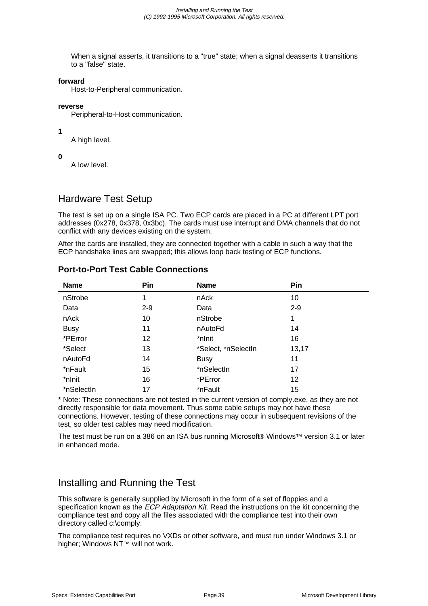When a signal asserts, it transitions to a "true" state; when a signal deasserts it transitions to a "false" state.

#### **forward**

Host-to-Peripheral communication.

#### **reverse**

Peripheral-to-Host communication.

**1**

A high level.

**0**

A low level.

## Hardware Test Setup

The test is set up on a single ISA PC. Two ECP cards are placed in a PC at different LPT port addresses (0x278, 0x378, 0x3bc). The cards must use interrupt and DMA channels that do not conflict with any devices existing on the system.

After the cards are installed, they are connected together with a cable in such a way that the ECP handshake lines are swapped; this allows loop back testing of ECP functions.

| <b>Name</b> | Pin     | <b>Name</b>         | Pin   |
|-------------|---------|---------------------|-------|
| nStrobe     | 1       | nAck                | 10    |
| Data        | $2 - 9$ | Data                | $2-9$ |
| nAck        | 10      | nStrobe             | 1     |
| <b>Busy</b> | 11      | nAutoFd             | 14    |
| *PError     | 12      | *nlnit              | 16    |
| *Select     | 13      | *Select, *nSelectIn | 13,17 |
| nAutoFd     | 14      | <b>Busy</b>         | 11    |
| *nFault     | 15      | *nSelectIn          | 17    |
| *nlnit      | 16      | *PError             | 12    |
| *nSelectIn  | 17      | *nFault             | 15    |

## **Port-to-Port Test Cable Connections**

\* Note: These connections are not tested in the current version of comply.exe, as they are not directly responsible for data movement. Thus some cable setups may not have these connections. However, testing of these connections may occur in subsequent revisions of the test, so older test cables may need modification.

The test must be run on a 386 on an ISA bus running Microsoft® Windows™ version 3.1 or later in enhanced mode.

# Installing and Running the Test

This software is generally supplied by Microsoft in the form of a set of floppies and a specification known as the ECP Adaptation Kit. Read the instructions on the kit concerning the compliance test and copy all the files associated with the compliance test into their own directory called c:\comply.

The compliance test requires no VXDs or other software, and must run under Windows 3.1 or higher; Windows NT™ will not work.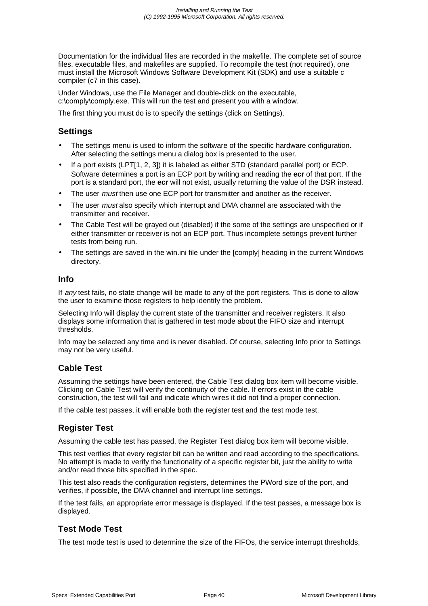Documentation for the individual files are recorded in the makefile. The complete set of source files, executable files, and makefiles are supplied. To recompile the test (not required), one must install the Microsoft Windows Software Development Kit (SDK) and use a suitable c compiler (c7 in this case).

Under Windows, use the File Manager and double-click on the executable, c:\comply\comply.exe. This will run the test and present you with a window.

The first thing you must do is to specify the settings (click on Settings).

## **Settings**

- The settings menu is used to inform the software of the specific hardware configuration. After selecting the settings menu a dialog box is presented to the user.
- If a port exists (LPT[1, 2, 3]) it is labeled as either STD (standard parallel port) or ECP. Software determines a port is an ECP port by writing and reading the **ecr** of that port. If the port is a standard port, the **ecr** will not exist, usually returning the value of the DSR instead.
- The user *must* then use one ECP port for transmitter and another as the receiver.
- The user must also specify which interrupt and DMA channel are associated with the transmitter and receiver.
- The Cable Test will be grayed out (disabled) if the some of the settings are unspecified or if either transmitter or receiver is not an ECP port. Thus incomplete settings prevent further tests from being run.
- The settings are saved in the win.ini file under the [comply] heading in the current Windows directory.

#### **Info**

If any test fails, no state change will be made to any of the port registers. This is done to allow the user to examine those registers to help identify the problem.

Selecting Info will display the current state of the transmitter and receiver registers. It also displays some information that is gathered in test mode about the FIFO size and interrupt thresholds.

Info may be selected any time and is never disabled. Of course, selecting Info prior to Settings may not be very useful.

## **Cable Test**

Assuming the settings have been entered, the Cable Test dialog box item will become visible. Clicking on Cable Test will verify the continuity of the cable. If errors exist in the cable construction, the test will fail and indicate which wires it did not find a proper connection.

If the cable test passes, it will enable both the register test and the test mode test.

## **Register Test**

Assuming the cable test has passed, the Register Test dialog box item will become visible.

This test verifies that every register bit can be written and read according to the specifications. No attempt is made to verify the functionality of a specific register bit, just the ability to write and/or read those bits specified in the spec.

This test also reads the configuration registers, determines the PWord size of the port, and verifies, if possible, the DMA channel and interrupt line settings.

If the test fails, an appropriate error message is displayed. If the test passes, a message box is displayed.

## **Test Mode Test**

The test mode test is used to determine the size of the FIFOs, the service interrupt thresholds,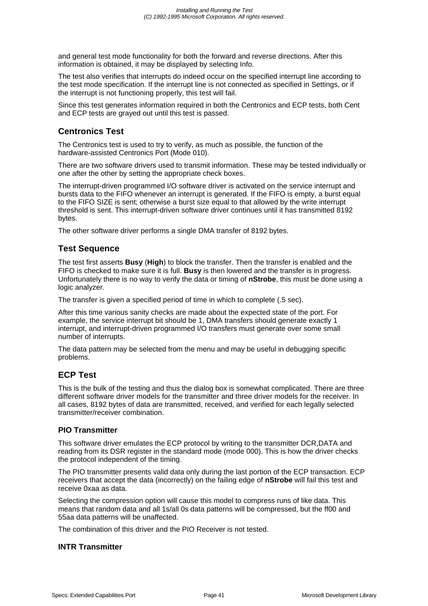and general test mode functionality for both the forward and reverse directions. After this information is obtained, it may be displayed by selecting Info.

The test also verifies that interrupts do indeed occur on the specified interrupt line according to the test mode specification. If the interrupt line is not connected as specified in Settings, or if the interrupt is not functioning properly, this test will fail.

Since this test generates information required in both the Centronics and ECP tests, both Cent and ECP tests are grayed out until this test is passed.

## **Centronics Test**

The Centronics test is used to try to verify, as much as possible, the function of the hardware-assisted Centronics Port (Mode 010).

There are two software drivers used to transmit information. These may be tested individually or one after the other by setting the appropriate check boxes.

The interrupt-driven programmed I/O software driver is activated on the service interrupt and bursts data to the FIFO whenever an interrupt is generated. If the FIFO is empty, a burst equal to the FIFO SIZE is sent; otherwise a burst size equal to that allowed by the write interrupt threshold is sent. This interrupt-driven software driver continues until it has transmitted 8192 bytes.

The other software driver performs a single DMA transfer of 8192 bytes.

## **Test Sequence**

The test first asserts **Busy** (**High**) to block the transfer. Then the transfer is enabled and the FIFO is checked to make sure it is full. **Busy** is then lowered and the transfer is in progress. Unfortunately there is no way to verify the data or timing of **nStrobe**, this must be done using a logic analyzer.

The transfer is given a specified period of time in which to complete (.5 sec).

After this time various sanity checks are made about the expected state of the port. For example, the service interrupt bit should be 1, DMA transfers should generate exactly 1 interrupt, and interrupt-driven programmed I/O transfers must generate over some small number of interrupts.

The data pattern may be selected from the menu and may be useful in debugging specific problems.

## **ECP Test**

This is the bulk of the testing and thus the dialog box is somewhat complicated. There are three different software driver models for the transmitter and three driver models for the receiver. In all cases, 8192 bytes of data are transmitted, received, and verified for each legally selected transmitter/receiver combination.

#### **PIO Transmitter**

This software driver emulates the ECP protocol by writing to the transmitter DCR,DATA and reading from its DSR register in the standard mode (mode 000). This is how the driver checks the protocol independent of the timing.

The PIO transmitter presents valid data only during the last portion of the ECP transaction. ECP receivers that accept the data (incorrectly) on the failing edge of **nStrobe** will fail this test and receive 0xaa as data.

Selecting the compression option will cause this model to compress runs of like data. This means that random data and all 1s/all 0s data patterns will be compressed, but the ff00 and 55aa data patterns will be unaffected.

The combination of this driver and the PIO Receiver is not tested.

#### **INTR Transmitter**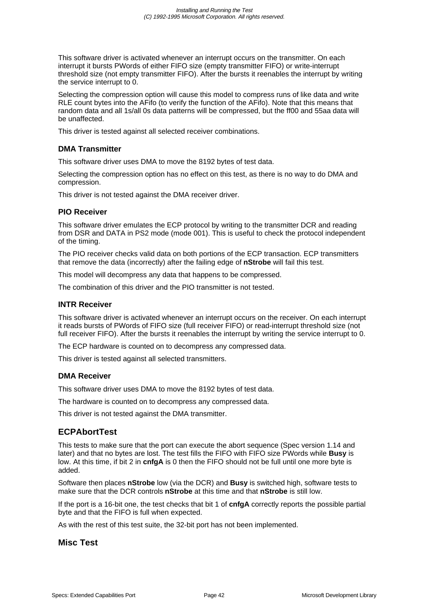This software driver is activated whenever an interrupt occurs on the transmitter. On each interrupt it bursts PWords of either FIFO size (empty transmitter FIFO) or write-interrupt threshold size (not empty transmitter FIFO). After the bursts it reenables the interrupt by writing the service interrupt to 0.

Selecting the compression option will cause this model to compress runs of like data and write RLE count bytes into the AFifo (to verify the function of the AFifo). Note that this means that random data and all 1s/all 0s data patterns will be compressed, but the ff00 and 55aa data will be unaffected.

This driver is tested against all selected receiver combinations.

#### **DMA Transmitter**

This software driver uses DMA to move the 8192 bytes of test data.

Selecting the compression option has no effect on this test, as there is no way to do DMA and compression.

This driver is not tested against the DMA receiver driver.

#### **PIO Receiver**

This software driver emulates the ECP protocol by writing to the transmitter DCR and reading from DSR and DATA in PS2 mode (mode 001). This is useful to check the protocol independent of the timing.

The PIO receiver checks valid data on both portions of the ECP transaction. ECP transmitters that remove the data (incorrectly) after the failing edge of **nStrobe** will fail this test.

This model will decompress any data that happens to be compressed.

The combination of this driver and the PIO transmitter is not tested.

#### **INTR Receiver**

This software driver is activated whenever an interrupt occurs on the receiver. On each interrupt it reads bursts of PWords of FIFO size (full receiver FIFO) or read-interrupt threshold size (not full receiver FIFO). After the bursts it reenables the interrupt by writing the service interrupt to 0.

The ECP hardware is counted on to decompress any compressed data.

This driver is tested against all selected transmitters.

#### **DMA Receiver**

This software driver uses DMA to move the 8192 bytes of test data.

The hardware is counted on to decompress any compressed data.

This driver is not tested against the DMA transmitter.

#### **ECPAbortTest**

This tests to make sure that the port can execute the abort sequence (Spec version 1.14 and later) and that no bytes are lost. The test fills the FIFO with FIFO size PWords while **Busy** is low. At this time, if bit 2 in **cnfgA** is 0 then the FIFO should not be full until one more byte is added.

Software then places **nStrobe** low (via the DCR) and **Busy** is switched high, software tests to make sure that the DCR controls **nStrobe** at this time and that **nStrobe** is still low.

If the port is a 16-bit one, the test checks that bit 1 of **cnfgA** correctly reports the possible partial byte and that the FIFO is full when expected.

As with the rest of this test suite, the 32-bit port has not been implemented.

## **Misc Test**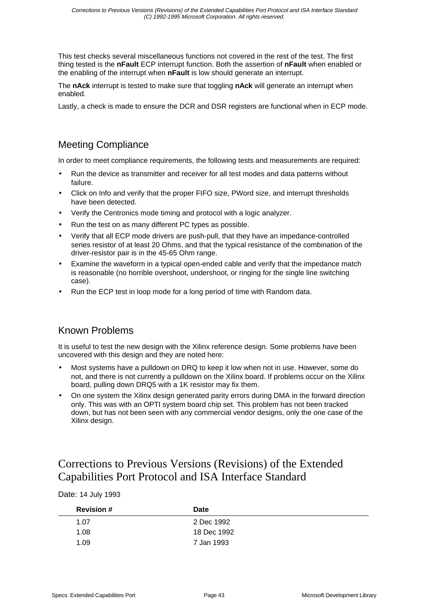This test checks several miscellaneous functions not covered in the rest of the test. The first thing tested is the **nFault** ECP interrupt function. Both the assertion of **nFault** when enabled or the enabling of the interrupt when **nFault** is low should generate an interrupt.

The **nAck** interrupt is tested to make sure that toggling **nAck** will generate an interrupt when enabled.

Lastly, a check is made to ensure the DCR and DSR registers are functional when in ECP mode.

# Meeting Compliance

In order to meet compliance requirements, the following tests and measurements are required:

- Run the device as transmitter and receiver for all test modes and data patterns without failure.
- Click on Info and verify that the proper FIFO size, PWord size, and interrupt thresholds have been detected.
- Verify the Centronics mode timing and protocol with a logic analyzer.
- Run the test on as many different PC types as possible.
- Verify that all ECP mode drivers are push-pull, that they have an impedance-controlled series resistor of at least 20 Ohms, and that the typical resistance of the combination of the driver-resistor pair is in the 45-65 Ohm range.
- Examine the waveform in a typical open-ended cable and verify that the impedance match is reasonable (no horrible overshoot, undershoot, or ringing for the single line switching case).
- Run the ECP test in loop mode for a long period of time with Random data.

# Known Problems

It is useful to test the new design with the Xilinx reference design. Some problems have been uncovered with this design and they are noted here:

- Most systems have a pulldown on DRQ to keep it low when not in use. However, some do not, and there is not currently a pulldown on the Xilinx board. If problems occur on the Xilinx board, pulling down DRQ5 with a 1K resistor may fix them.
- On one system the Xilinx design generated parity errors during DMA in the forward direction only. This was with an OPTI system board chip set. This problem has not been tracked down, but has not been seen with any commercial vendor designs, only the one case of the Xilinx design.

# Corrections to Previous Versions (Revisions) of the Extended Capabilities Port Protocol and ISA Interface Standard

Date: 14 July 1993

| <b>Revision #</b> | Date        |
|-------------------|-------------|
| 1.07              | 2 Dec 1992  |
| 1.08              | 18 Dec 1992 |
| 1.09              | 7 Jan 1993  |
|                   |             |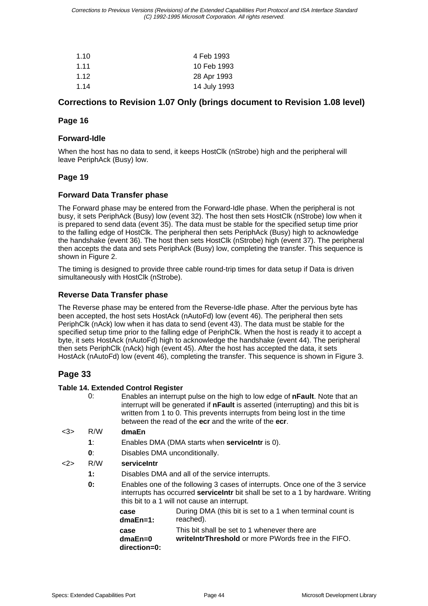| 1.10  | 4 Feb 1993   |
|-------|--------------|
| 1.11  | 10 Feb 1993  |
| 1 1 2 | 28 Apr 1993  |
| 1.14  | 14 July 1993 |

## **Corrections to Revision 1.07 Only (brings document to Revision 1.08 level)**

## **Page 16**

#### **Forward-Idle**

When the host has no data to send, it keeps HostClk (nStrobe) high and the peripheral will leave PeriphAck (Busy) low.

## **Page 19**

#### **Forward Data Transfer phase**

The Forward phase may be entered from the Forward-Idle phase. When the peripheral is not busy, it sets PeriphAck (Busy) low (event 32). The host then sets HostClk (nStrobe) low when it is prepared to send data (event 35). The data must be stable for the specified setup time prior to the falling edge of HostClk. The peripheral then sets PeriphAck (Busy) high to acknowledge the handshake (event 36). The host then sets HostClk (nStrobe) high (event 37). The peripheral then accepts the data and sets PeriphAck (Busy) low, completing the transfer. This sequence is shown in Figure 2.

The timing is designed to provide three cable round-trip times for data setup if Data is driven simultaneously with HostClk (nStrobe).

## **Reverse Data Transfer phase**

The Reverse phase may be entered from the Reverse-Idle phase. After the pervious byte has been accepted, the host sets HostAck (nAutoFd) low (event 46). The peripheral then sets PeriphClk (nAck) low when it has data to send (event 43). The data must be stable for the specified setup time prior to the falling edge of PeriphClk. When the host is ready it to accept a byte, it sets HostAck (nAutoFd) high to acknowledge the handshake (event 44). The peripheral then sets PeriphClk (nAck) high (event 45). After the host has accepted the data, it sets HostAck (nAutoFd) low (event 46), completing the transfer. This sequence is shown in Figure 3.

## **Page 33**

#### **Table 14. Extended Control Register**

|     | 0:           |                                 | Enables an interrupt pulse on the high to low edge of nFault. Note that an<br>interrupt will be generated if <b>nFault</b> is asserted (interrupting) and this bit is<br>written from 1 to 0. This prevents interrupts from being lost in the time<br>between the read of the ecr and the write of the ecr. |
|-----|--------------|---------------------------------|-------------------------------------------------------------------------------------------------------------------------------------------------------------------------------------------------------------------------------------------------------------------------------------------------------------|
| <3> | R/W          | dmaEn                           |                                                                                                                                                                                                                                                                                                             |
|     | $\ddagger$ : |                                 | Enables DMA (DMA starts when service Intr is 0).                                                                                                                                                                                                                                                            |
|     | 0:           | Disables DMA unconditionally.   |                                                                                                                                                                                                                                                                                                             |
| <2> | R/W          | serviceIntr                     |                                                                                                                                                                                                                                                                                                             |
|     | $\ddagger$ : |                                 | Disables DMA and all of the service interrupts.                                                                                                                                                                                                                                                             |
|     | 0:           |                                 | Enables one of the following 3 cases of interrupts. Once one of the 3 service<br>interrupts has occurred servicelntr bit shall be set to a 1 by hardware. Writing<br>this bit to a 1 will not cause an interrupt.                                                                                           |
|     |              | case<br>$dmaEn=1$ :             | During DMA (this bit is set to a 1 when terminal count is<br>reached).                                                                                                                                                                                                                                      |
|     |              | case<br>dmaEn=0<br>direction=0: | This bit shall be set to 1 whenever there are<br>write IntrThreshold or more PWords free in the FIFO.                                                                                                                                                                                                       |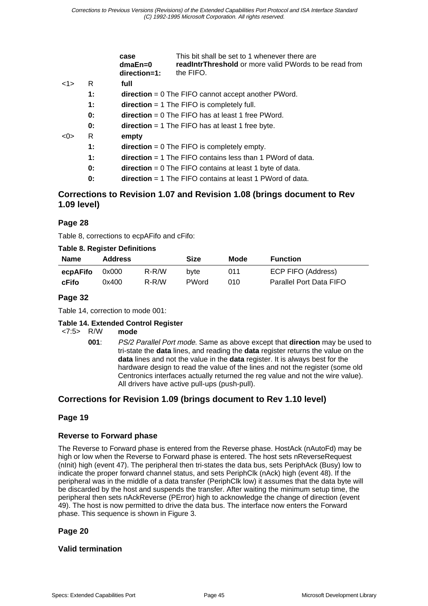|     |    | case<br>$dmaEn=0$<br>direction=1: | This bit shall be set to 1 whenever there are<br><b>readIntrThreshold</b> or more valid PWords to be read from<br>the FIFO. |
|-----|----|-----------------------------------|-----------------------------------------------------------------------------------------------------------------------------|
| 1>  | R  | full                              |                                                                                                                             |
|     | 1: |                                   | $direction = 0$ The FIFO cannot accept another PWord.                                                                       |
|     | 1: |                                   | $direction = 1$ The FIFO is completely full.                                                                                |
|     | 0: |                                   | $direction = 0$ The FIFO has at least 1 free PWord.                                                                         |
|     | 0: |                                   | $direction = 1$ The FIFO has at least 1 free byte.                                                                          |
| <0> | R  | empty                             |                                                                                                                             |
|     | 1: |                                   | $direction = 0$ The FIFO is completely empty.                                                                               |
|     | 1: |                                   | $direction = 1$ The FIFO contains less than 1 PWord of data.                                                                |
|     | 0: |                                   | $direction = 0$ The FIFO contains at least 1 byte of data.                                                                  |
|     | 0: |                                   | <b>direction</b> = 1 The FIFO contains at least 1 PW ord of data.                                                           |
|     |    |                                   |                                                                                                                             |

## **Corrections to Revision 1.07 and Revision 1.08 (brings document to Rev 1.09 level)**

## **Page 28**

Table 8, corrections to ecpAFifo and cFifo:

#### **Table 8. Register Definitions**

| <b>Name</b> | <b>Address</b> |       | Size         | Mode | <b>Function</b>         |
|-------------|----------------|-------|--------------|------|-------------------------|
| ecpAFifo    | 0x000          | R-R/W | byte         | 011  | ECP FIFO (Address)      |
| cFifo       | 0x400          | R-R/W | <b>PWord</b> | 010  | Parallel Port Data FIFO |

## **Page 32**

Table 14, correction to mode 001:

#### **Table 14. Extended Control Register**

<7:5> R/W **mode**

**001**: PS/2 Parallel Port mode. Same as above except that **direction** may be used to tri-state the **data** lines, and reading the **data** register returns the value on the **data** lines and not the value in the **data** register. It is always best for the hardware design to read the value of the lines and not the register (some old Centronics interfaces actually returned the reg value and not the wire value). All drivers have active pull-ups (push-pull).

## **Corrections for Revision 1.09 (brings document to Rev 1.10 level)**

## **Page 19**

## **Reverse to Forward phase**

The Reverse to Forward phase is entered from the Reverse phase. HostAck (nAutoFd) may be high or low when the Reverse to Forward phase is entered. The host sets nReverseRequest (nInit) high (event 47). The peripheral then tri-states the data bus, sets PeriphAck (Busy) low to indicate the proper forward channel status, and sets PeriphClk (nAck) high (event 48). If the peripheral was in the middle of a data transfer (PeriphClk low) it assumes that the data byte will be discarded by the host and suspends the transfer. After waiting the minimum setup time, the peripheral then sets nAckReverse (PError) high to acknowledge the change of direction (event 49). The host is now permitted to drive the data bus. The interface now enters the Forward phase. This sequence is shown in Figure 3.

## **Page 20**

## **Valid termination**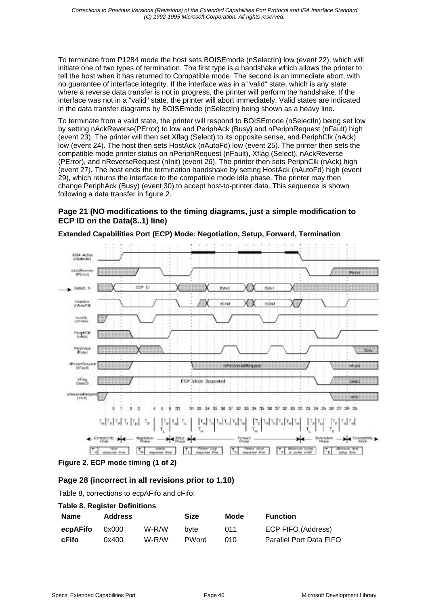To terminate from P1284 mode the host sets BOISEmode (nSelectIn) low (event 22), which will initiate one of two types of termination. The first type is a handshake which allows the printer to tell the host when it has returned to Compatible mode. The second is an immediate abort, with no guarantee of interface integrity. If the interface was in a "valid" state, which is any state where a reverse data transfer is not in progress, the printer will perform the handshake. If the interface was not in a "valid" state, the printer will abort immediately. Valid states are indicated in the data transfer diagrams by BOISEmode (nSelectIn) being shown as a heavy line.

To terminate from a valid state, the printer will respond to BOISE mode (nSelectIn) being set low by setting nAckReverse(PError) to low and PeriphAck (Busy) and nPeriphRequest (nFault) high (event 23). The printer will then set Xflag (Select) to its opposite sense, and PeriphClk (nAck) low (event 24). The host then sets HostAck (nAutoFd) low (event 25). The printer then sets the compatible mode printer status on nPeriphRequest (nFault), Xflag (Select), nAckReverse (PError), and nReverseRequest (nInit) (event 26). The printer then sets PeriphClk (nAck) high (event 27). The host ends the termination handshake by setting HostAck (nAutoFd) high (event 29), which returns the interface to the compatible mode idle phase. The printer may then change PeriphAck (Busy) (event 30) to accept host-to-printer data. This sequence is shown following a data transfer in figure 2.

#### **Page 21 (NO modifications to the timing diagrams, just a simple modification to ECP ID on the Data(8..1) line)**



**Extended Capabilities Port (ECP) Mode: Negotiation, Setup, Forward, Termination**

#### **Figure 2. ECP mode timing (1 of 2)**

## **Page 28 (incorrect in all revisions prior to 1.10)**

Table 8, corrections to ecpAFifo and cFifo:

#### **Table 8. Register Definitions**

| <b>Name</b> | <b>Address</b> |       | Size         | Mode | <b>Function</b>         |
|-------------|----------------|-------|--------------|------|-------------------------|
| ecpAFifo    | 0x000          | W-R/W | byte         | 011  | ECP FIFO (Address)      |
| cFifo       | 0x400          | W-R/W | <b>PWord</b> | 010. | Parallel Port Data FIFO |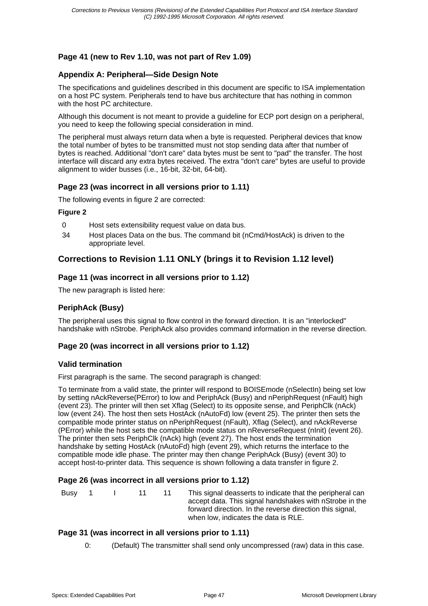## **Page 41 (new to Rev 1.10, was not part of Rev 1.09)**

## **Appendix A: Peripheral—Side Design Note**

The specifications and guidelines described in this document are specific to ISA implementation on a host PC system. Peripherals tend to have bus architecture that has nothing in common with the host PC architecture.

Although this document is not meant to provide a guideline for ECP port design on a peripheral, you need to keep the following special consideration in mind.

The peripheral must always return data when a byte is requested. Peripheral devices that know the total number of bytes to be transmitted must not stop sending data after that number of bytes is reached. Additional "don't care" data bytes must be sent to "pad" the transfer. The host interface will discard any extra bytes received. The extra "don't care" bytes are useful to provide alignment to wider busses (i.e., 16-bit, 32-bit, 64-bit).

## **Page 23 (was incorrect in all versions prior to 1.11)**

The following events in figure 2 are corrected:

#### **Figure 2**

- 0 Host sets extensibility request value on data bus.
- 34 Host places Data on the bus. The command bit (nCmd/HostAck) is driven to the appropriate level.

## **Corrections to Revision 1.11 ONLY (brings it to Revision 1.12 level)**

#### **Page 11 (was incorrect in all versions prior to 1.12)**

The new paragraph is listed here:

#### **PeriphAck (Busy)**

The peripheral uses this signal to flow control in the forward direction. It is an "interlocked" handshake with nStrobe. PeriphAck also provides command information in the reverse direction.

## **Page 20 (was incorrect in all versions prior to 1.12)**

#### **Valid termination**

First paragraph is the same. The second paragraph is changed:

To terminate from a valid state, the printer will respond to BOISE mode (nSelectIn) being set low by setting nAckReverse(PError) to low and PeriphAck (Busy) and nPeriphRequest (nFault) high (event 23). The printer will then set Xflag (Select) to its opposite sense, and PeriphClk (nAck) low (event 24). The host then sets HostAck (nAutoFd) low (event 25). The printer then sets the compatible mode printer status on nPeriphRequest (nFault), Xflag (Select), and nAckReverse (PError) while the host sets the compatible mode status on nReverseRequest (nInit) (event 26). The printer then sets PeriphClk (nAck) high (event 27). The host ends the termination handshake by setting HostAck (nAutoFd) high (event 29), which returns the interface to the compatible mode idle phase. The printer may then change PeriphAck (Busy) (event 30) to accept host-to-printer data. This sequence is shown following a data transfer in figure 2.

#### **Page 26 (was incorrect in all versions prior to 1.12)**

| <b>Busy</b> | $\overline{1}$ |  | $-11$ | -11 | This signal deasserts to indicate that the peripheral can<br>accept data. This signal handshakes with nStrobe in the<br>forward direction. In the reverse direction this signal,<br>when low, indicates the data is RLE. |
|-------------|----------------|--|-------|-----|--------------------------------------------------------------------------------------------------------------------------------------------------------------------------------------------------------------------------|
|-------------|----------------|--|-------|-----|--------------------------------------------------------------------------------------------------------------------------------------------------------------------------------------------------------------------------|

#### **Page 31 (was incorrect in all versions prior to 1.11)**

0: (Default) The transmitter shall send only uncompressed (raw) data in this case.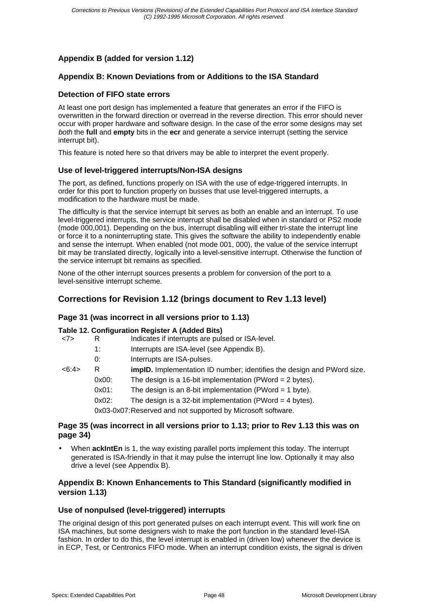## **Appendix B (added for version 1.12)**

#### **Appendix B: Known Deviations from or Additions to the ISA Standard**

#### **Detection of FIFO state errors**

At least one port design has implemented a feature that generates an error if the FIFO is overwritten in the forward direction or overread in the reverse direction. This error should never occur with proper hardware and software design. In the case of the error some designs may set both the **full** and **empty** bits in the **ecr** and generate a service interrupt (setting the service interrupt bit).

This feature is noted here so that drivers may be able to interpret the event properly.

#### **Use of level-triggered interrupts/Non-ISA designs**

The port, as defined, functions properly on ISA with the use of edge-triggered interrupts. In order for this port to function properly on busses that use level-triggered interrupts, a modification to the hardware must be made.

The difficulty is that the service interrupt bit serves as both an enable and an interrupt. To use level-triggered interrupts, the service interrupt shall be disabled when in standard or PS2 mode (mode 000,001). Depending on the bus, interrupt disabling will either tri-state the interrupt line or force it to a noninterrupting state. This gives the software the ability to independently enable and sense the interrupt. When enabled (not mode 001, 000), the value of the service interrupt bit may be translated directly, logically into a level-sensitive interrupt. Otherwise the function of the service interrupt bit remains as specified.

None of the other interrupt sources presents a problem for conversion of the port to a level-sensitive interrupt scheme.

## **Corrections for Revision 1.12 (brings document to Rev 1.13 level)**

#### **Page 31 (was incorrect in all versions prior to 1.13)**

#### **Table 12. Configuration Register A (Added Bits)**

| <7>   | R        | Indicates if interrupts are pulsed or ISA-level.                              |
|-------|----------|-------------------------------------------------------------------------------|
|       | 1:       | Interrupts are ISA-level (see Appendix B).                                    |
|       | 0:       | Interrupts are ISA-pulses.                                                    |
| <6:4> | R        | <b>impID.</b> Implementation ID number; identifies the design and PWord size. |
|       | $0x00$ : | The design is a 16-bit implementation (PWord = $2$ bytes).                    |
|       | $0x01$ : | The design is an 8-bit implementation (PWord = $1$ byte).                     |
|       | $0x02$ : | The design is a 32-bit implementation (PWord $=$ 4 bytes).                    |
|       |          | 0x03-0x07: Reserved and not supported by Microsoft software.                  |
|       |          |                                                                               |

#### **Page 35 (was incorrect in all versions prior to 1.13; prior to Rev 1.13 this was on page 34)**

• When **ackIntEn** is 1, the way existing parallel ports implement this today. The interrupt generated is ISA-friendly in that it may pulse the interrupt line low. Optionally it may also drive a level (see Appendix B).

#### **Appendix B: Known Enhancements to This Standard (significantly modified in version 1.13)**

#### **Use of nonpulsed (level-triggered) interrupts**

The original design of this port generated pulses on each interrupt event. This will work fine on ISA machines, but some designers wish to make the port function in the standard level-ISA fashion. In order to do this, the level interrupt is enabled in (driven low) whenever the device is in ECP, Test, or Centronics FIFO mode. When an interrupt condition exists, the signal is driven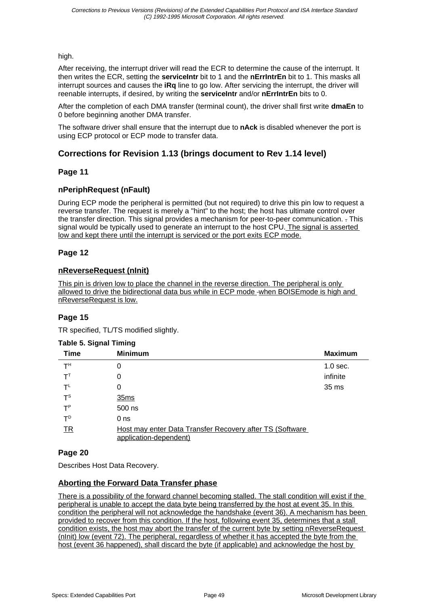high.

After receiving, the interrupt driver will read the ECR to determine the cause of the interrupt. It then writes the ECR, setting the **serviceIntr** bit to 1 and the **nErrIntrEn** bit to 1. This masks all interrupt sources and causes the **iRq** line to go low. After servicing the interrupt, the driver will reenable interrupts, if desired, by writing the **serviceIntr** and/or **nErrIntrEn** bits to 0.

After the completion of each DMA transfer (terminal count), the driver shall first write **dmaEn** to 0 before beginning another DMA transfer.

The software driver shall ensure that the interrupt due to **nAck** is disabled whenever the port is using ECP protocol or ECP mode to transfer data.

## **Corrections for Revision 1.13 (brings document to Rev 1.14 level)**

## **Page 11**

## **nPeriphRequest (nFault)**

During ECP mode the peripheral is permitted (but not required) to drive this pin low to request a reverse transfer. The request is merely a "hint" to the host; the host has ultimate control over the transfer direction. This signal provides a mechanism for peer-to-peer communication. . This signal would be typically used to generate an interrupt to the host CPU. The signal is asserted low and kept there until the interrupt is serviced or the port exits ECP mode.

## **Page 12**

## **nReverseRequest (nInit)**

This pin is driven low to place the channel in the reverse direction. The peripheral is only allowed to drive the bidirectional data bus while in ECP mode -when BOISE mode is high and nReverseRequest is low.

## **Page 15**

TR specified, TL/TS modified slightly.

#### **Table 5. Signal Timing**

| <b>Time</b>              | <b>Minimum</b>                                                                     | <b>Maximum</b> |
|--------------------------|------------------------------------------------------------------------------------|----------------|
| т <sup>н</sup>           | 0                                                                                  | $1.0$ sec.     |
| $\mathsf{T}^{\intercal}$ | 0                                                                                  | infinite       |
| $T^L$                    | 0                                                                                  | 35 ms          |
| $T^{\text{S}}$           | 35ms                                                                               |                |
| $T^P$                    | 500 ns                                                                             |                |
| $T^D$                    | 0 <sub>ns</sub>                                                                    |                |
| <b>TR</b>                | Host may enter Data Transfer Recovery after TS (Software<br>application-dependent) |                |

## **Page 20**

Describes Host Data Recovery.

## **Aborting the Forward Data Transfer phase**

There is a possibility of the forward channel becoming stalled. The stall condition will exist if the peripheral is unable to accept the data byte being transferred by the host at event 35. In this condition the peripheral will not acknowledge the handshake (event 36). A mechanism has been provided to recover from this condition. If the host, following event 35, determines that a stall condition exists, the host may abort the transfer of the current byte by setting nReverseRequest (nInit) low (event 72). The peripheral, regardless of whether it has accepted the byte from the host (event 36 happened), shall discard the byte (if applicable) and acknowledge the host by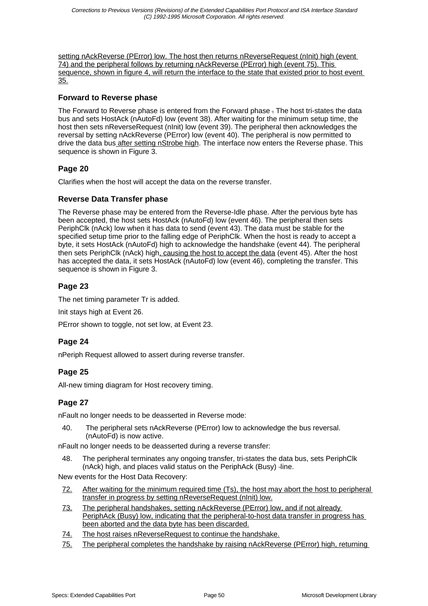setting nAckReverse (PError) low. The host then returns nReverseRequest (nlnit) high (event 74) and the peripheral follows by returning nAckReverse (PError) high (event 75). This sequence, shown in figure 4, will return the interface to the state that existed prior to host event 35.

## **Forward to Reverse phase**

The Forward to Reverse phase is entered from the Forward phase . The host tri-states the data bus and sets HostAck (nAutoFd) low (event 38). After waiting for the minimum setup time, the host then sets nReverseRequest (nInit) low (event 39). The peripheral then acknowledges the reversal by setting nAckReverse (PError) low (event 40). The peripheral is now permitted to drive the data bus after setting nStrobe high. The interface now enters the Reverse phase. This sequence is shown in Figure 3.

## **Page 20**

Clarifies when the host will accept the data on the reverse transfer.

## **Reverse Data Transfer phase**

The Reverse phase may be entered from the Reverse-Idle phase. After the pervious byte has been accepted, the host sets HostAck (nAutoFd) low (event 46). The peripheral then sets PeriphClk (nAck) low when it has data to send (event 43). The data must be stable for the specified setup time prior to the falling edge of PeriphClk. When the host is ready to accept a byte, it sets HostAck (nAutoFd) high to acknowledge the handshake (event 44). The peripheral then sets PeriphClk (nAck) high, causing the host to accept the data (event 45). After the host has accepted the data, it sets HostAck (nAutoFd) low (event 46), completing the transfer. This sequence is shown in Figure 3.

## **Page 23**

The net timing parameter Tr is added.

Init stays high at Event 26.

PError shown to toggle, not set low, at Event 23.

## **Page 24**

nPeriph Request allowed to assert during reverse transfer.

## **Page 25**

All-new timing diagram for Host recovery timing.

## **Page 27**

nFault no longer needs to be deasserted in Reverse mode:

40. The peripheral sets nAckReverse (PError) low to acknowledge the bus reversal. (nAutoFd) is now active.

nFault no longer needs to be deasserted during a reverse transfer:

48. The peripheral terminates any ongoing transfer, tri-states the data bus, sets PeriphClk (nAck) high, and places valid status on the PeriphAck (Busy) -line.

New events for the Host Data Recovery:

- 72. After waiting for the minimum required time (Ts), the host may abort the host to peripheral transfer in progress by setting nReverseRequest (nInit) low.
- 73. The peripheral handshakes, setting nAckReverse (PError) low, and if not already PeriphAck (Busy) low, indicating that the peripheral-to-host data transfer in progress has been aborted and the data byte has been discarded.
- 74. The host raises nReverseRequest to continue the handshake.
- 75. The peripheral completes the handshake by raising nAckReverse (PError) high, returning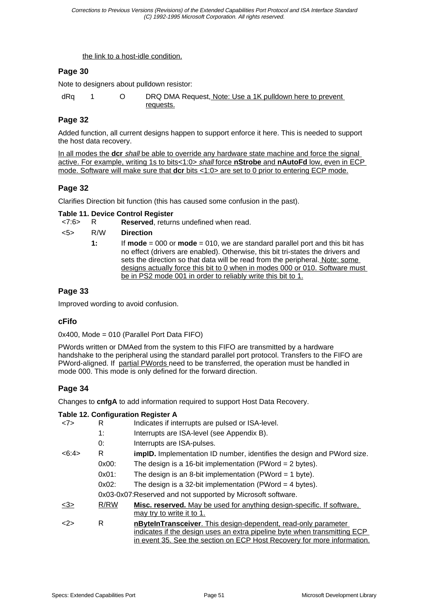the link to a host-idle condition.

## **Page 30**

Note to designers about pulldown resistor:

dRq 1 O DRQ DMA Request, Note: Use a 1K pulldown here to prevent requests.

## **Page 32**

Added function, all current designs happen to support enforce it here. This is needed to support the host data recovery.

In all modes the **dcr** shall be able to override any hardware state machine and force the signal active. For example, writing 1s to bits<1:0> shall force **nStrobe** and **nAutoFd** low, even in ECP mode. Software will make sure that **dcr** bits <1:0> are set to 0 prior to entering ECP mode.

## **Page 32**

Clarifies Direction bit function (this has caused some confusion in the past).

#### **Table 11. Device Control Register**

<7:6> R **Reserved**, returns undefined when read.

| $5>$ | R/W | <b>Direction</b>                                                                                                                                                                                                                                                                                                                                                                                             |
|------|-----|--------------------------------------------------------------------------------------------------------------------------------------------------------------------------------------------------------------------------------------------------------------------------------------------------------------------------------------------------------------------------------------------------------------|
|      | 1:  | If <b>mode</b> = 000 or <b>mode</b> = 010, we are standard parallel port and this bit has<br>no effect (drivers are enabled). Otherwise, this bit tri-states the drivers and<br>sets the direction so that data will be read from the peripheral. Note: some<br>designs actually force this bit to 0 when in modes 000 or 010. Software must<br>be in PS2 mode 001 in order to reliably write this bit to 1. |

## **Page 33**

Improved wording to avoid confusion.

## **cFifo**

0x400, Mode = 010 (Parallel Port Data FIFO)

PWords written or DMAed from the system to this FIFO are transmitted by a hardware handshake to the peripheral using the standard parallel port protocol. Transfers to the FIFO are PWord-aligned. If partial PWords need to be transferred, the operation must be handled in mode 000. This mode is only defined for the forward direction.

## **Page 34**

Changes to **cnfgA** to add information required to support Host Data Recovery.

|       |                                                              | <b>Table 12. Configuration Register A</b>                                                                                                                                                                              |
|-------|--------------------------------------------------------------|------------------------------------------------------------------------------------------------------------------------------------------------------------------------------------------------------------------------|
| <7>   | R                                                            | Indicates if interrupts are pulsed or ISA-level.                                                                                                                                                                       |
|       | 1:                                                           | Interrupts are ISA-level (see Appendix B).                                                                                                                                                                             |
|       | 0:                                                           | Interrupts are ISA-pulses.                                                                                                                                                                                             |
| <6:4> | R                                                            | <b>implD.</b> Implementation ID number, identifies the design and PWord size.                                                                                                                                          |
|       | $0x00$ :                                                     | The design is a 16-bit implementation (PWord = $2$ bytes).                                                                                                                                                             |
|       | $0x01$ :                                                     | The design is an 8-bit implementation (PWord = 1 byte).                                                                                                                                                                |
|       | 0x02:                                                        | The design is a 32-bit implementation (PWord $=$ 4 bytes).                                                                                                                                                             |
|       | 0x03-0x07: Reserved and not supported by Microsoft software. |                                                                                                                                                                                                                        |
| <3>   | R/RW                                                         | Misc. reserved. May be used for anything design-specific. If software,<br>may try to write it to 1.                                                                                                                    |
| <2>   | R                                                            | nBytelnTransceiver. This design-dependent, read-only parameter<br>indicates if the design uses an extra pipeline byte when transmitting ECP<br>in event 35. See the section on ECP Host Recovery for more information. |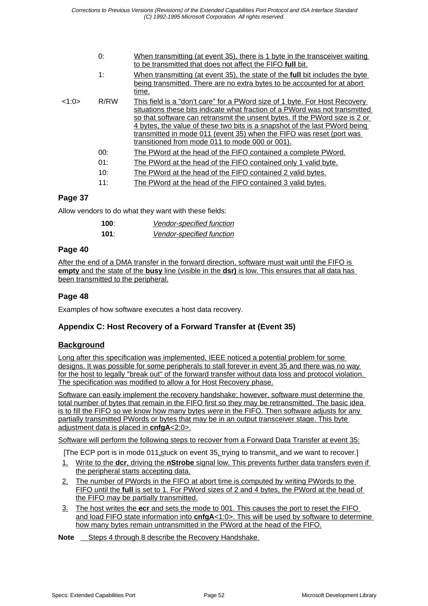| When transmitting (at event 35), there is 1 byte in the transceiver waiting                                                                                                                                                                                                                                            |
|------------------------------------------------------------------------------------------------------------------------------------------------------------------------------------------------------------------------------------------------------------------------------------------------------------------------|
| When transmitting (at event 35), the state of the <b>full</b> bit includes the byte<br>being transmitted. There are no extra bytes to be accounted for at abort                                                                                                                                                        |
| This field is a "don't care" for a PWord size of 1 byte. For Host Recovery<br>situations these bits indicate what fraction of a PWord was not transmitted<br>so that software can retransmit the unsent bytes. If the PWord size is 2 or<br>4 bytes, the value of these two bits is a snapshot of the last PWord being |
|                                                                                                                                                                                                                                                                                                                        |
|                                                                                                                                                                                                                                                                                                                        |
|                                                                                                                                                                                                                                                                                                                        |
|                                                                                                                                                                                                                                                                                                                        |
|                                                                                                                                                                                                                                                                                                                        |

## **Page 37**

Allow vendors to do what they want with these fields:

| 100∶ | <b>Vendor-specified function</b> |
|------|----------------------------------|
| 101: | <b>Vendor-specified function</b> |

## **Page 40**

After the end of a DMA transfer in the forward direction, software must wait until the FIFO is **empty** and the state of the **busy** line (visible in the **dsr)** is low. This ensures that all data has been transmitted to the peripheral.

## **Page 48**

Examples of how software executes a host data recovery.

## **Appendix C: Host Recovery of a Forward Transfer at (Event 35)**

## **Background**

Long after this specification was implemented, IEEE noticed a potential problem for some designs. It was possible for some peripherals to stall forever in event 35 and there was no way for the host to legally "break out" of the forward transfer without data loss and protocol violation. The specification was modified to allow a for Host Recovery phase.

Software can easily implement the recovery handshake; however, software must determine the total number of bytes that remain in the FIFO first so they may be retransmitted. The basic idea is to fill the FIFO so we know how many bytes were in the FIFO. Then software adjusts for any partially transmitted PWords or bytes that may be in an output transceiver stage. This byte adjustment data is placed in **cnfgA**<2:0>.

Software will perform the following steps to recover from a Forward Data Transfer at event 35:

- [The ECP port is in mode 011, stuck on event 35, trying to transmit, and we want to recover.]
- 1. Write to the **dcr**, driving the **nStrobe** signal low. This prevents further data transfers even if the peripheral starts accepting data.
- 2. The number of PWords in the FIFO at abort time is computed by writing PWords to the FIFO until the **full** is set to 1. For PWord sizes of 2 and 4 bytes, the PWord at the head of the FIFO may be partially transmitted.
- 3. The host writes the **ecr** and sets the mode to 001. This causes the port to reset the FIFO and load FIFO state information into **cnfgA**<1:0>. This will be used by software to determine how many bytes remain untransmitted in the PWord at the head of the FIFO.

**Note** Steps 4 through 8 describe the Recovery Handshake.